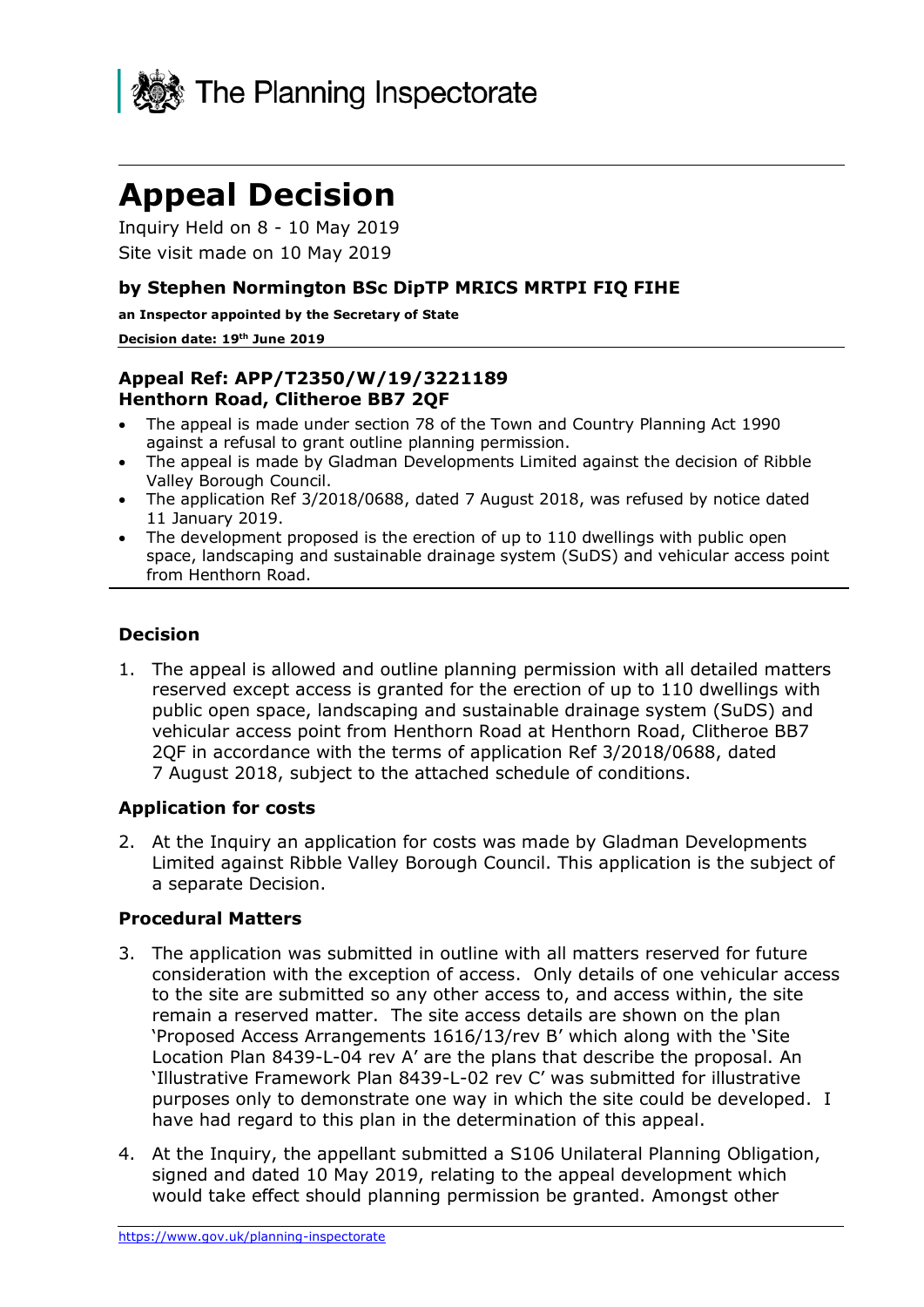

# **Appeal Decision**

Inquiry Held on 8 - 10 May 2019 Site visit made on 10 May 2019

## **by Stephen Normington BSc DipTP MRICS MRTPI FIQ FIHE**

**an Inspector appointed by the Secretary of State** 

#### **Decision date: 19th June 2019**

## **Appeal Ref: APP/T2350/W/19/3221189 Henthorn Road, Clitheroe BB7 2QF**

- The appeal is made under section 78 of the Town and Country Planning Act 1990 against a refusal to grant outline planning permission.
- The appeal is made by Gladman Developments Limited against the decision of Ribble Valley Borough Council.
- The application Ref 3/2018/0688, dated 7 August 2018, was refused by notice dated 11 January 2019.
- The development proposed is the erection of up to 110 dwellings with public open space, landscaping and sustainable drainage system (SuDS) and vehicular access point from Henthorn Road.

## **Decision**

1. The appeal is allowed and outline planning permission with all detailed matters reserved except access is granted for the erection of up to 110 dwellings with public open space, landscaping and sustainable drainage system (SuDS) and vehicular access point from Henthorn Road at Henthorn Road, Clitheroe BB7 2QF in accordance with the terms of application Ref 3/2018/0688, dated 7 August 2018, subject to the attached schedule of conditions.

## **Application for costs**

2. At the Inquiry an application for costs was made by Gladman Developments Limited against Ribble Valley Borough Council. This application is the subject of a separate Decision.

## **Procedural Matters**

- 3. The application was submitted in outline with all matters reserved for future consideration with the exception of access. Only details of one vehicular access to the site are submitted so any other access to, and access within, the site remain a reserved matter. The site access details are shown on the plan 'Proposed Access Arrangements 1616/13/rev B' which along with the 'Site Location Plan 8439-L-04 rev A' are the plans that describe the proposal. An 'Illustrative Framework Plan 8439-L-02 rev C' was submitted for illustrative purposes only to demonstrate one way in which the site could be developed. I have had regard to this plan in the determination of this appeal.
- 4. At the Inquiry, the appellant submitted a S106 Unilateral Planning Obligation, signed and dated 10 May 2019, relating to the appeal development which would take effect should planning permission be granted. Amongst other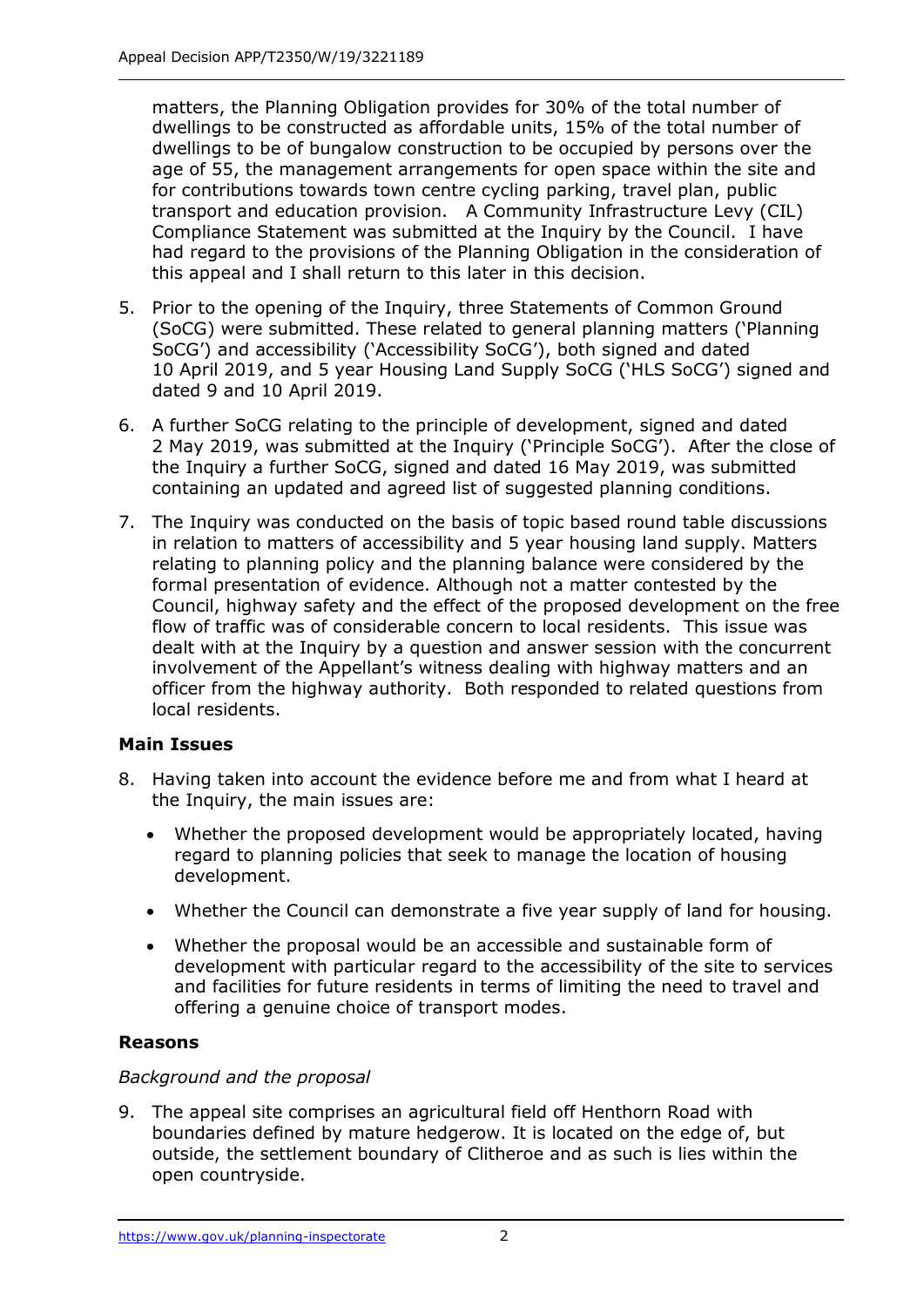matters, the Planning Obligation provides for 30% of the total number of dwellings to be constructed as affordable units, 15% of the total number of dwellings to be of bungalow construction to be occupied by persons over the age of 55, the management arrangements for open space within the site and for contributions towards town centre cycling parking, travel plan, public transport and education provision. A Community Infrastructure Levy (CIL) Compliance Statement was submitted at the Inquiry by the Council. I have had regard to the provisions of the Planning Obligation in the consideration of this appeal and I shall return to this later in this decision.

- 5. Prior to the opening of the Inquiry, three Statements of Common Ground (SoCG) were submitted. These related to general planning matters ('Planning SoCG') and accessibility ('Accessibility SoCG'), both signed and dated 10 April 2019, and 5 year Housing Land Supply SoCG ('HLS SoCG') signed and dated 9 and 10 April 2019.
- 6. A further SoCG relating to the principle of development, signed and dated 2 May 2019, was submitted at the Inquiry ('Principle SoCG'). After the close of the Inquiry a further SoCG, signed and dated 16 May 2019, was submitted containing an updated and agreed list of suggested planning conditions.
- 7. The Inquiry was conducted on the basis of topic based round table discussions in relation to matters of accessibility and 5 year housing land supply. Matters relating to planning policy and the planning balance were considered by the formal presentation of evidence. Although not a matter contested by the Council, highway safety and the effect of the proposed development on the free flow of traffic was of considerable concern to local residents. This issue was dealt with at the Inquiry by a question and answer session with the concurrent involvement of the Appellant's witness dealing with highway matters and an officer from the highway authority. Both responded to related questions from local residents.

## **Main Issues**

- 8. Having taken into account the evidence before me and from what I heard at the Inquiry, the main issues are:
	- Whether the proposed development would be appropriately located, having regard to planning policies that seek to manage the location of housing development.
	- Whether the Council can demonstrate a five year supply of land for housing.
	- Whether the proposal would be an accessible and sustainable form of development with particular regard to the accessibility of the site to services and facilities for future residents in terms of limiting the need to travel and offering a genuine choice of transport modes.

## **Reasons**

## *Background and the proposal*

9. The appeal site comprises an agricultural field off Henthorn Road with boundaries defined by mature hedgerow. It is located on the edge of, but outside, the settlement boundary of Clitheroe and as such is lies within the open countryside.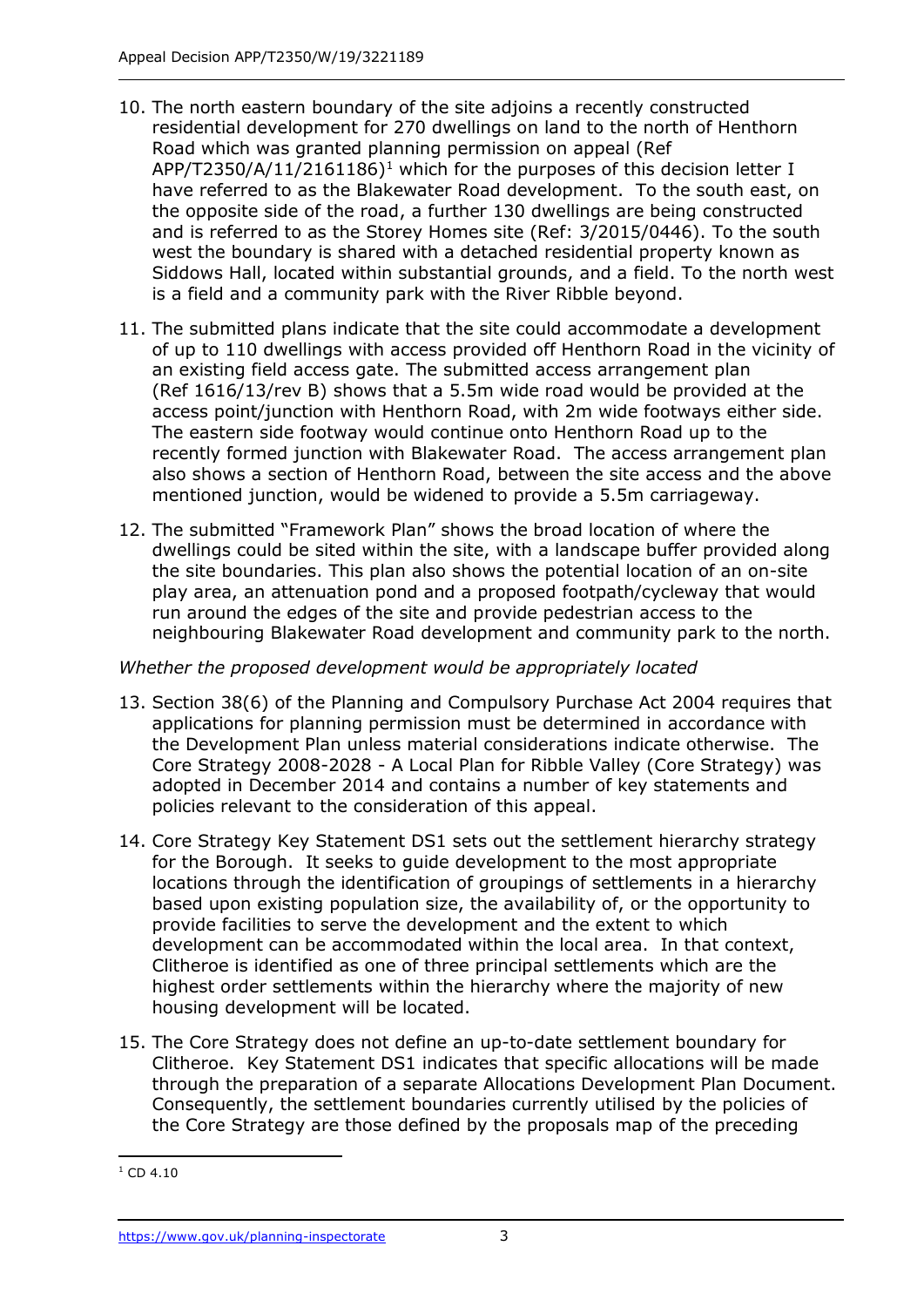- 10. The north eastern boundary of the site adjoins a recently constructed residential development for 270 dwellings on land to the north of Henthorn Road which was granted planning permission on appeal (Ref APP/T2350/A/11/2161186)<sup>1</sup> which for the purposes of this decision letter I have referred to as the Blakewater Road development. To the south east, on the opposite side of the road, a further 130 dwellings are being constructed and is referred to as the Storey Homes site (Ref: 3/2015/0446). To the south west the boundary is shared with a detached residential property known as Siddows Hall, located within substantial grounds, and a field. To the north west is a field and a community park with the River Ribble beyond.
- 11. The submitted plans indicate that the site could accommodate a development of up to 110 dwellings with access provided off Henthorn Road in the vicinity of an existing field access gate. The submitted access arrangement plan (Ref 1616/13/rev B) shows that a 5.5m wide road would be provided at the access point/junction with Henthorn Road, with 2m wide footways either side. The eastern side footway would continue onto Henthorn Road up to the recently formed junction with Blakewater Road. The access arrangement plan also shows a section of Henthorn Road, between the site access and the above mentioned junction, would be widened to provide a 5.5m carriageway.
- 12. The submitted "Framework Plan" shows the broad location of where the dwellings could be sited within the site, with a landscape buffer provided along the site boundaries. This plan also shows the potential location of an on-site play area, an attenuation pond and a proposed footpath/cycleway that would run around the edges of the site and provide pedestrian access to the neighbouring Blakewater Road development and community park to the north.

## *Whether the proposed development would be appropriately located*

- 13. Section 38(6) of the Planning and Compulsory Purchase Act 2004 requires that applications for planning permission must be determined in accordance with the Development Plan unless material considerations indicate otherwise. The Core Strategy 2008-2028 - A Local Plan for Ribble Valley (Core Strategy) was adopted in December 2014 and contains a number of key statements and policies relevant to the consideration of this appeal.
- 14. Core Strategy Key Statement DS1 sets out the settlement hierarchy strategy for the Borough. It seeks to guide development to the most appropriate locations through the identification of groupings of settlements in a hierarchy based upon existing population size, the availability of, or the opportunity to provide facilities to serve the development and the extent to which development can be accommodated within the local area. In that context, Clitheroe is identified as one of three principal settlements which are the highest order settlements within the hierarchy where the majority of new housing development will be located.
- 15. The Core Strategy does not define an up-to-date settlement boundary for Clitheroe. Key Statement DS1 indicates that specific allocations will be made through the preparation of a separate Allocations Development Plan Document. Consequently, the settlement boundaries currently utilised by the policies of the Core Strategy are those defined by the proposals map of the preceding

j  $1$  CD 4.10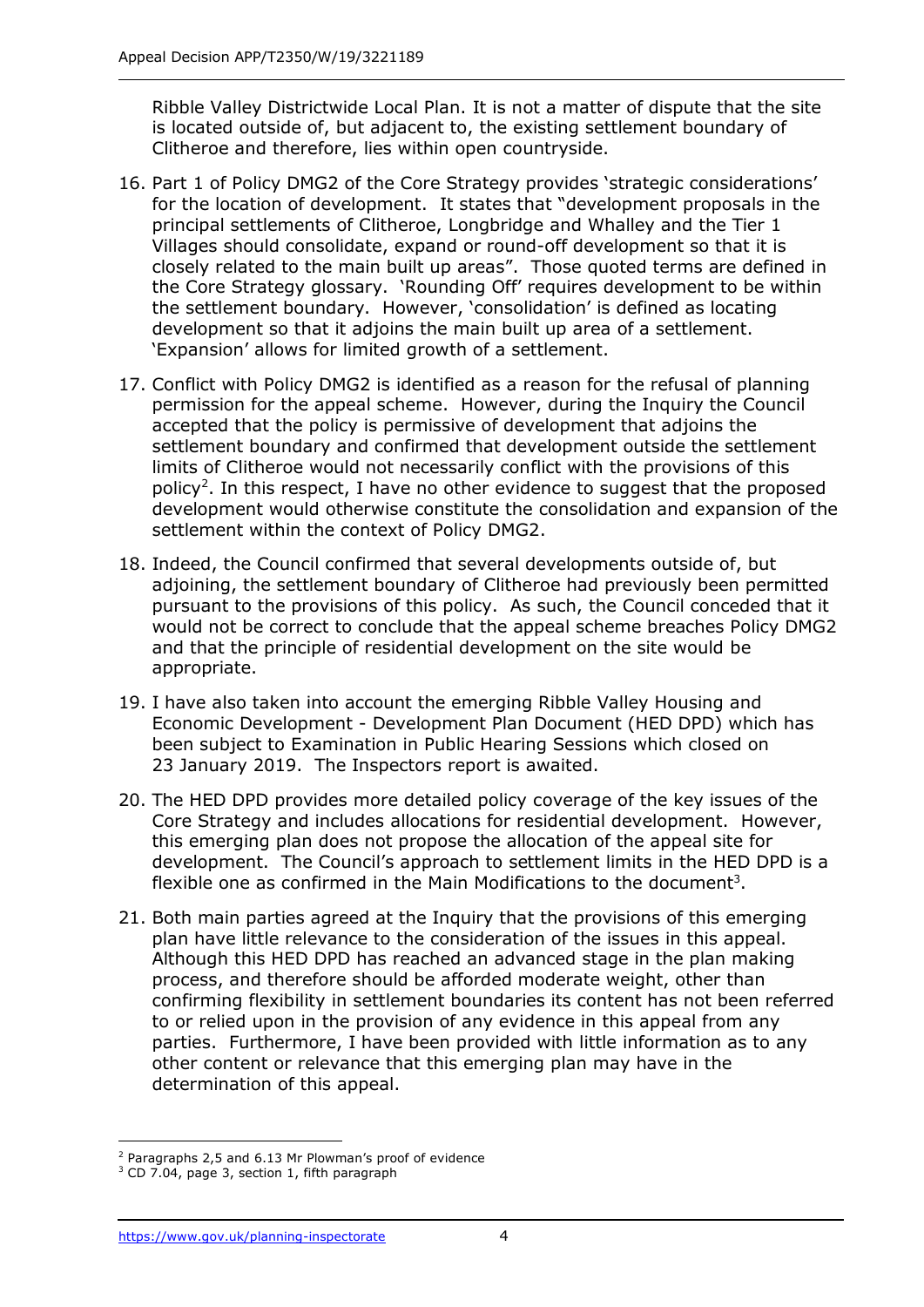Ribble Valley Districtwide Local Plan. It is not a matter of dispute that the site is located outside of, but adjacent to, the existing settlement boundary of Clitheroe and therefore, lies within open countryside.

- 16. Part 1 of Policy DMG2 of the Core Strategy provides 'strategic considerations' for the location of development. It states that "development proposals in the principal settlements of Clitheroe, Longbridge and Whalley and the Tier 1 Villages should consolidate, expand or round-off development so that it is closely related to the main built up areas". Those quoted terms are defined in the Core Strategy glossary. 'Rounding Off' requires development to be within the settlement boundary. However, 'consolidation' is defined as locating development so that it adjoins the main built up area of a settlement. 'Expansion' allows for limited growth of a settlement.
- 17. Conflict with Policy DMG2 is identified as a reason for the refusal of planning permission for the appeal scheme. However, during the Inquiry the Council accepted that the policy is permissive of development that adjoins the settlement boundary and confirmed that development outside the settlement limits of Clitheroe would not necessarily conflict with the provisions of this policy<sup>2</sup>. In this respect, I have no other evidence to suggest that the proposed development would otherwise constitute the consolidation and expansion of the settlement within the context of Policy DMG2.
- 18. Indeed, the Council confirmed that several developments outside of, but adjoining, the settlement boundary of Clitheroe had previously been permitted pursuant to the provisions of this policy. As such, the Council conceded that it would not be correct to conclude that the appeal scheme breaches Policy DMG2 and that the principle of residential development on the site would be appropriate.
- 19. I have also taken into account the emerging Ribble Valley Housing and Economic Development - Development Plan Document (HED DPD) which has been subject to Examination in Public Hearing Sessions which closed on 23 January 2019. The Inspectors report is awaited.
- 20. The HED DPD provides more detailed policy coverage of the key issues of the Core Strategy and includes allocations for residential development. However, this emerging plan does not propose the allocation of the appeal site for development. The Council's approach to settlement limits in the HED DPD is a flexible one as confirmed in the Main Modifications to the document<sup>3</sup>.
- 21. Both main parties agreed at the Inquiry that the provisions of this emerging plan have little relevance to the consideration of the issues in this appeal. Although this HED DPD has reached an advanced stage in the plan making process, and therefore should be afforded moderate weight, other than confirming flexibility in settlement boundaries its content has not been referred to or relied upon in the provision of any evidence in this appeal from any parties. Furthermore, I have been provided with little information as to any other content or relevance that this emerging plan may have in the determination of this appeal.

<sup>-</sup> $2$  Paragraphs 2,5 and 6.13 Mr Plowman's proof of evidence

<sup>&</sup>lt;sup>3</sup> CD 7.04, page 3, section 1, fifth paragraph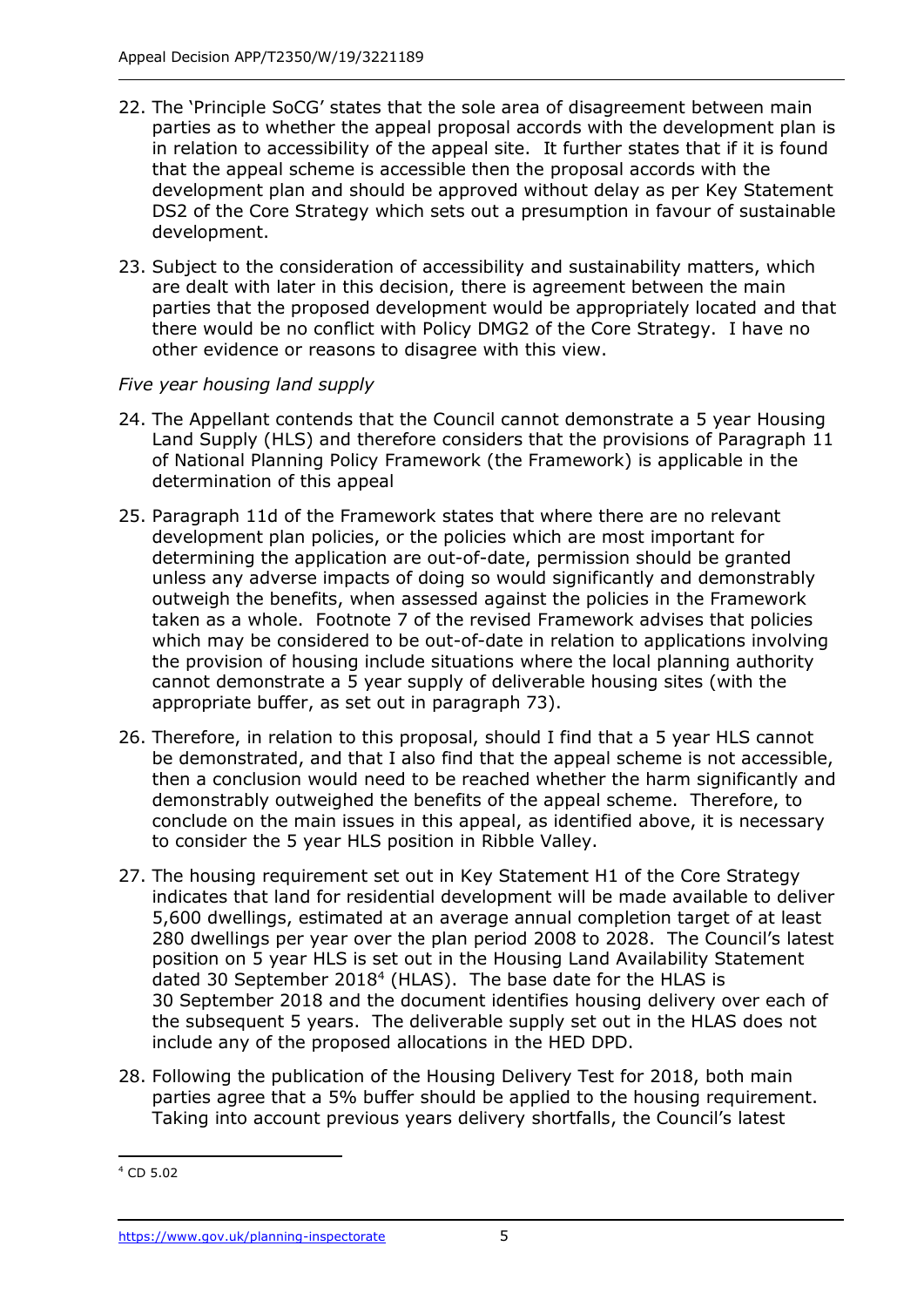- 22. The 'Principle SoCG' states that the sole area of disagreement between main parties as to whether the appeal proposal accords with the development plan is in relation to accessibility of the appeal site. It further states that if it is found that the appeal scheme is accessible then the proposal accords with the development plan and should be approved without delay as per Key Statement DS2 of the Core Strategy which sets out a presumption in favour of sustainable development.
- 23. Subject to the consideration of accessibility and sustainability matters, which are dealt with later in this decision, there is agreement between the main parties that the proposed development would be appropriately located and that there would be no conflict with Policy DMG2 of the Core Strategy. I have no other evidence or reasons to disagree with this view.

## *Five year housing land supply*

- 24. The Appellant contends that the Council cannot demonstrate a 5 year Housing Land Supply (HLS) and therefore considers that the provisions of Paragraph 11 of National Planning Policy Framework (the Framework) is applicable in the determination of this appeal
- 25. Paragraph 11d of the Framework states that where there are no relevant development plan policies, or the policies which are most important for determining the application are out-of-date, permission should be granted unless any adverse impacts of doing so would significantly and demonstrably outweigh the benefits, when assessed against the policies in the Framework taken as a whole. Footnote 7 of the revised Framework advises that policies which may be considered to be out-of-date in relation to applications involving the provision of housing include situations where the local planning authority cannot demonstrate a 5 year supply of deliverable housing sites (with the appropriate buffer, as set out in paragraph 73).
- 26. Therefore, in relation to this proposal, should I find that a 5 year HLS cannot be demonstrated, and that I also find that the appeal scheme is not accessible, then a conclusion would need to be reached whether the harm significantly and demonstrably outweighed the benefits of the appeal scheme. Therefore, to conclude on the main issues in this appeal, as identified above, it is necessary to consider the 5 year HLS position in Ribble Valley.
- 27. The housing requirement set out in Key Statement H1 of the Core Strategy indicates that land for residential development will be made available to deliver 5,600 dwellings, estimated at an average annual completion target of at least 280 dwellings per year over the plan period 2008 to 2028. The Council's latest position on 5 year HLS is set out in the Housing Land Availability Statement dated 30 September 2018<sup>4</sup> (HLAS). The base date for the HLAS is 30 September 2018 and the document identifies housing delivery over each of the subsequent 5 years. The deliverable supply set out in the HLAS does not include any of the proposed allocations in the HED DPD.
- 28. Following the publication of the Housing Delivery Test for 2018, both main parties agree that a 5% buffer should be applied to the housing requirement. Taking into account previous years delivery shortfalls, the Council's latest

j

<sup>4</sup> CD 5.02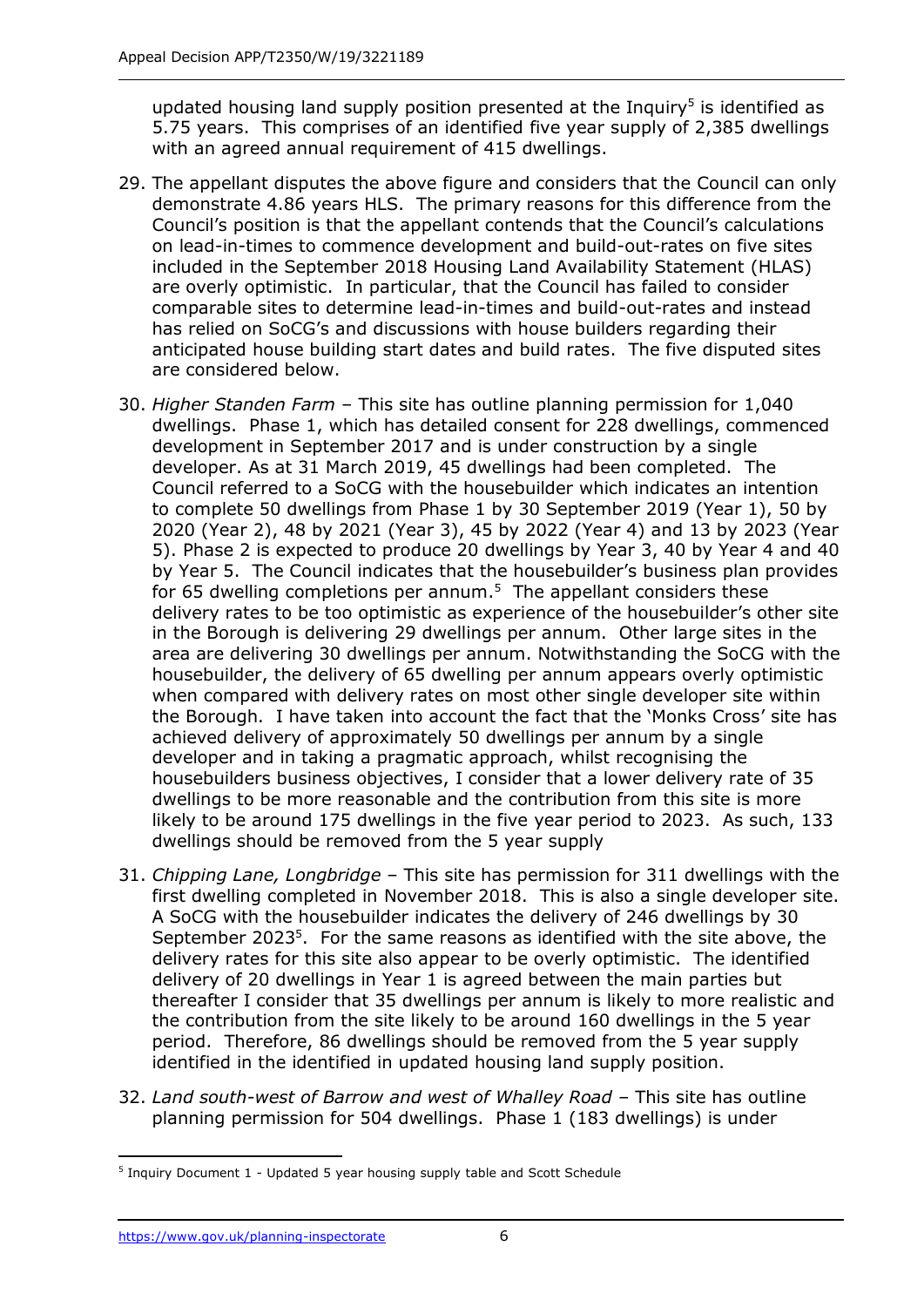updated housing land supply position presented at the Inquiry<sup>5</sup> is identified as 5.75 years. This comprises of an identified five year supply of 2,385 dwellings with an agreed annual requirement of 415 dwellings.

- 29. The appellant disputes the above figure and considers that the Council can only demonstrate 4.86 years HLS. The primary reasons for this difference from the Council's position is that the appellant contends that the Council's calculations on lead-in-times to commence development and build-out-rates on five sites included in the September 2018 Housing Land Availability Statement (HLAS) are overly optimistic. In particular, that the Council has failed to consider comparable sites to determine lead-in-times and build-out-rates and instead has relied on SoCG's and discussions with house builders regarding their anticipated house building start dates and build rates. The five disputed sites are considered below.
- 30. *Higher Standen Farm* This site has outline planning permission for 1,040 dwellings. Phase 1, which has detailed consent for 228 dwellings, commenced development in September 2017 and is under construction by a single developer. As at 31 March 2019, 45 dwellings had been completed. The Council referred to a SoCG with the housebuilder which indicates an intention to complete 50 dwellings from Phase 1 by 30 September 2019 (Year 1), 50 by 2020 (Year 2), 48 by 2021 (Year 3), 45 by 2022 (Year 4) and 13 by 2023 (Year 5). Phase 2 is expected to produce 20 dwellings by Year 3, 40 by Year 4 and 40 by Year 5. The Council indicates that the housebuilder's business plan provides for 65 dwelling completions per annum.<sup>5</sup> The appellant considers these delivery rates to be too optimistic as experience of the housebuilder's other site in the Borough is delivering 29 dwellings per annum. Other large sites in the area are delivering 30 dwellings per annum. Notwithstanding the SoCG with the housebuilder, the delivery of 65 dwelling per annum appears overly optimistic when compared with delivery rates on most other single developer site within the Borough. I have taken into account the fact that the 'Monks Cross' site has achieved delivery of approximately 50 dwellings per annum by a single developer and in taking a pragmatic approach, whilst recognising the housebuilders business objectives, I consider that a lower delivery rate of 35 dwellings to be more reasonable and the contribution from this site is more likely to be around 175 dwellings in the five year period to 2023. As such, 133 dwellings should be removed from the 5 year supply
- 31. *Chipping Lane, Longbridge* This site has permission for 311 dwellings with the first dwelling completed in November 2018. This is also a single developer site. A SoCG with the housebuilder indicates the delivery of 246 dwellings by 30 September 2023<sup>5</sup>. For the same reasons as identified with the site above, the delivery rates for this site also appear to be overly optimistic. The identified delivery of 20 dwellings in Year 1 is agreed between the main parties but thereafter I consider that 35 dwellings per annum is likely to more realistic and the contribution from the site likely to be around 160 dwellings in the 5 year period. Therefore, 86 dwellings should be removed from the 5 year supply identified in the identified in updated housing land supply position.
- 32. *Land south-west of Barrow and west of Whalley Road* This site has outline planning permission for 504 dwellings. Phase 1 (183 dwellings) is under

j <sup>5</sup> Inquiry Document 1 - Updated 5 year housing supply table and Scott Schedule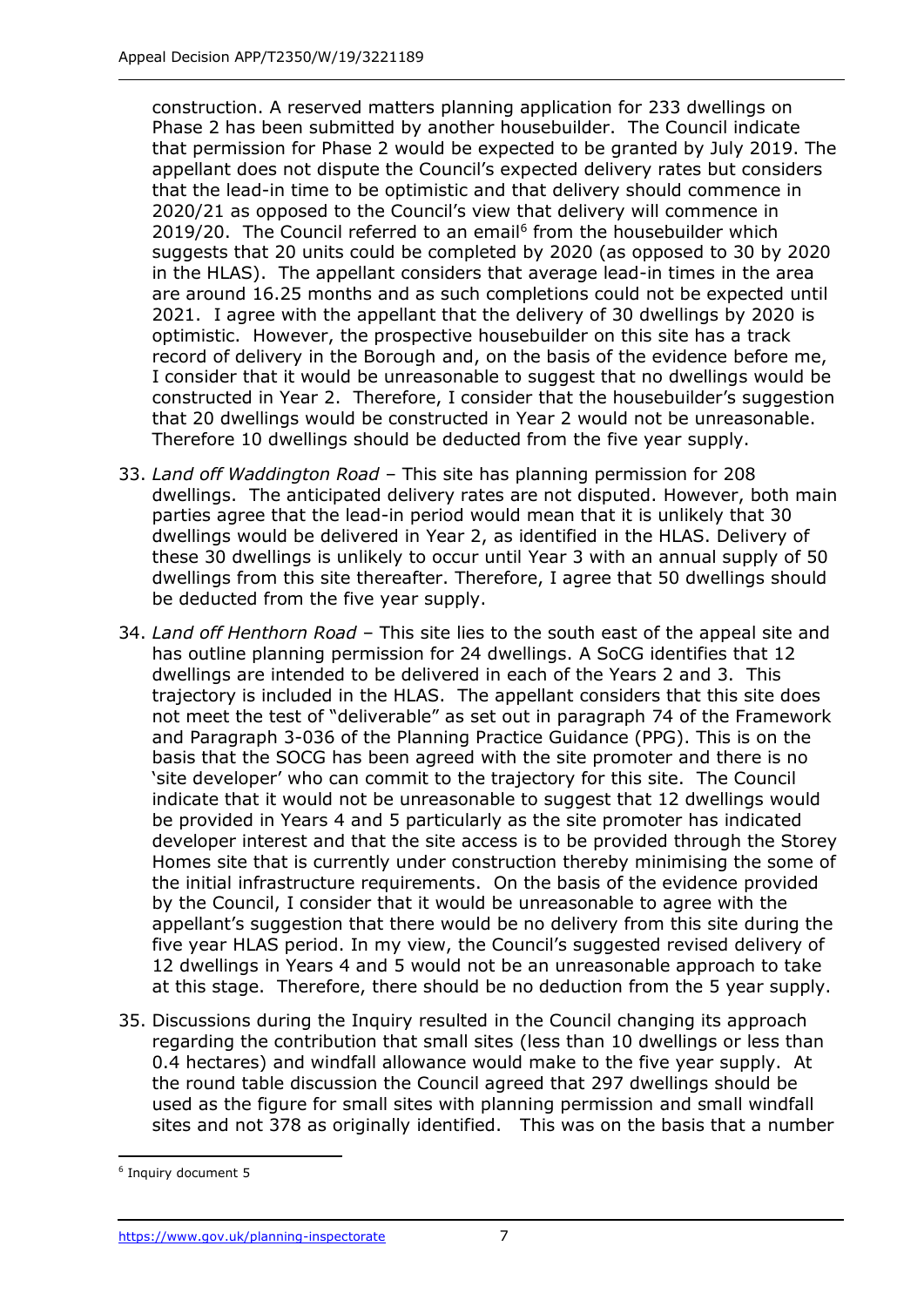construction. A reserved matters planning application for 233 dwellings on Phase 2 has been submitted by another housebuilder. The Council indicate that permission for Phase 2 would be expected to be granted by July 2019. The appellant does not dispute the Council's expected delivery rates but considers that the lead-in time to be optimistic and that delivery should commence in 2020/21 as opposed to the Council's view that delivery will commence in 2019/20. The Council referred to an email<sup>6</sup> from the housebuilder which suggests that 20 units could be completed by 2020 (as opposed to 30 by 2020 in the HLAS). The appellant considers that average lead-in times in the area are around 16.25 months and as such completions could not be expected until 2021. I agree with the appellant that the delivery of 30 dwellings by 2020 is optimistic. However, the prospective housebuilder on this site has a track record of delivery in the Borough and, on the basis of the evidence before me, I consider that it would be unreasonable to suggest that no dwellings would be constructed in Year 2. Therefore, I consider that the housebuilder's suggestion that 20 dwellings would be constructed in Year 2 would not be unreasonable. Therefore 10 dwellings should be deducted from the five year supply.

- 33. *Land off Waddington Road*  This site has planning permission for 208 dwellings. The anticipated delivery rates are not disputed. However, both main parties agree that the lead-in period would mean that it is unlikely that 30 dwellings would be delivered in Year 2, as identified in the HLAS. Delivery of these 30 dwellings is unlikely to occur until Year 3 with an annual supply of 50 dwellings from this site thereafter. Therefore, I agree that 50 dwellings should be deducted from the five year supply.
- 34. *Land off Henthorn Road*  This site lies to the south east of the appeal site and has outline planning permission for 24 dwellings. A SoCG identifies that 12 dwellings are intended to be delivered in each of the Years 2 and 3. This trajectory is included in the HLAS. The appellant considers that this site does not meet the test of "deliverable" as set out in paragraph 74 of the Framework and Paragraph 3-036 of the Planning Practice Guidance (PPG). This is on the basis that the SOCG has been agreed with the site promoter and there is no 'site developer' who can commit to the trajectory for this site. The Council indicate that it would not be unreasonable to suggest that 12 dwellings would be provided in Years 4 and 5 particularly as the site promoter has indicated developer interest and that the site access is to be provided through the Storey Homes site that is currently under construction thereby minimising the some of the initial infrastructure requirements. On the basis of the evidence provided by the Council, I consider that it would be unreasonable to agree with the appellant's suggestion that there would be no delivery from this site during the five year HLAS period. In my view, the Council's suggested revised delivery of 12 dwellings in Years 4 and 5 would not be an unreasonable approach to take at this stage. Therefore, there should be no deduction from the 5 year supply.
- 35. Discussions during the Inquiry resulted in the Council changing its approach regarding the contribution that small sites (less than 10 dwellings or less than 0.4 hectares) and windfall allowance would make to the five year supply. At the round table discussion the Council agreed that 297 dwellings should be used as the figure for small sites with planning permission and small windfall sites and not 378 as originally identified. This was on the basis that a number

j

<sup>6</sup> Inquiry document 5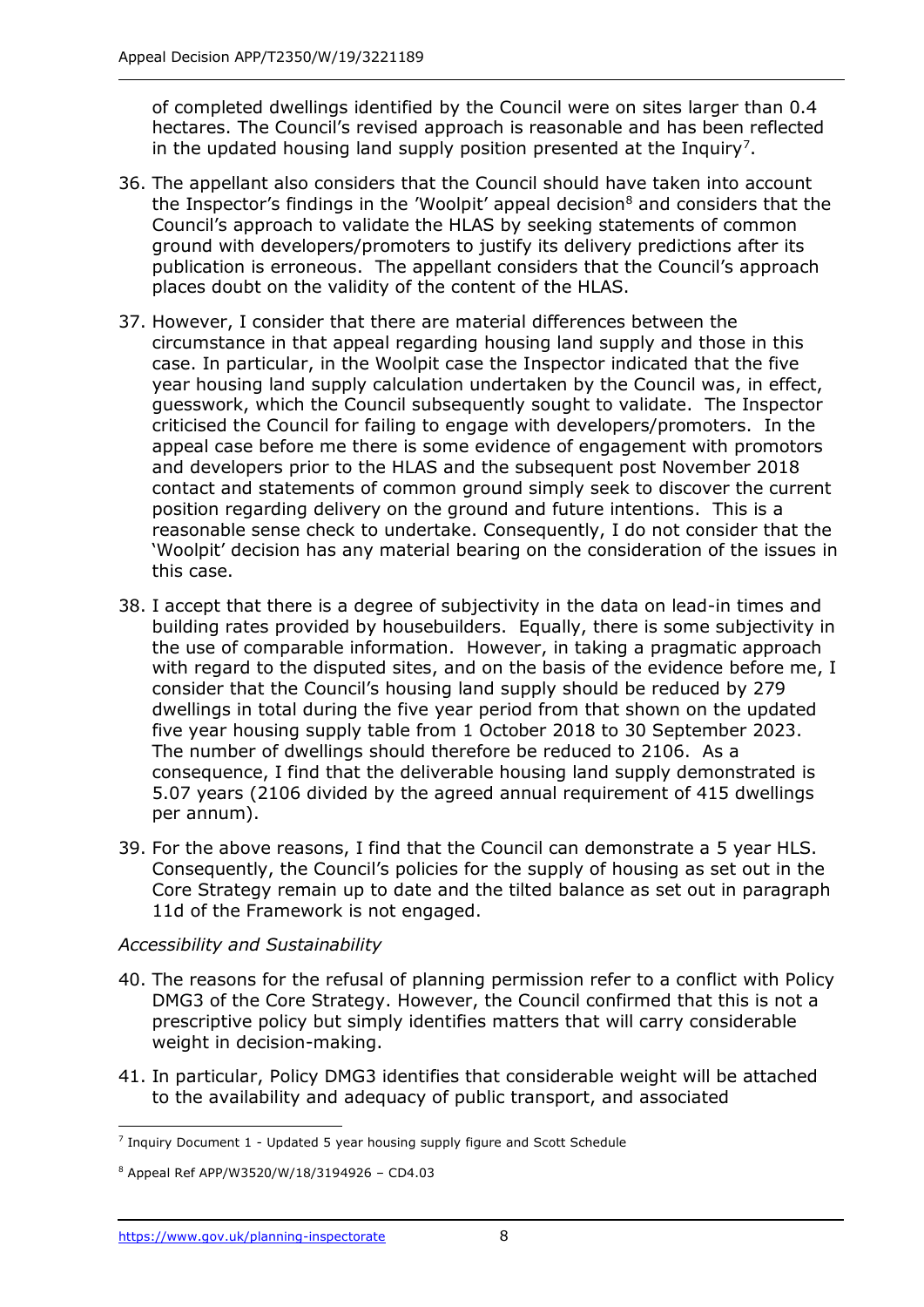of completed dwellings identified by the Council were on sites larger than 0.4 hectares. The Council's revised approach is reasonable and has been reflected in the updated housing land supply position presented at the Inquiry<sup>7</sup>.

- 36. The appellant also considers that the Council should have taken into account the Inspector's findings in the 'Woolpit' appeal decision $<sup>8</sup>$  and considers that the</sup> Council's approach to validate the HLAS by seeking statements of common ground with developers/promoters to justify its delivery predictions after its publication is erroneous. The appellant considers that the Council's approach places doubt on the validity of the content of the HLAS.
- 37. However, I consider that there are material differences between the circumstance in that appeal regarding housing land supply and those in this case. In particular, in the Woolpit case the Inspector indicated that the five year housing land supply calculation undertaken by the Council was, in effect, guesswork, which the Council subsequently sought to validate. The Inspector criticised the Council for failing to engage with developers/promoters. In the appeal case before me there is some evidence of engagement with promotors and developers prior to the HLAS and the subsequent post November 2018 contact and statements of common ground simply seek to discover the current position regarding delivery on the ground and future intentions. This is a reasonable sense check to undertake. Consequently, I do not consider that the 'Woolpit' decision has any material bearing on the consideration of the issues in this case.
- 38. I accept that there is a degree of subjectivity in the data on lead-in times and building rates provided by housebuilders. Equally, there is some subjectivity in the use of comparable information. However, in taking a pragmatic approach with regard to the disputed sites, and on the basis of the evidence before me, I consider that the Council's housing land supply should be reduced by 279 dwellings in total during the five year period from that shown on the updated five year housing supply table from 1 October 2018 to 30 September 2023. The number of dwellings should therefore be reduced to 2106. As a consequence, I find that the deliverable housing land supply demonstrated is 5.07 years (2106 divided by the agreed annual requirement of 415 dwellings per annum).
- 39. For the above reasons, I find that the Council can demonstrate a 5 year HLS. Consequently, the Council's policies for the supply of housing as set out in the Core Strategy remain up to date and the tilted balance as set out in paragraph 11d of the Framework is not engaged.

## *Accessibility and Sustainability*

- 40. The reasons for the refusal of planning permission refer to a conflict with Policy DMG3 of the Core Strategy. However, the Council confirmed that this is not a prescriptive policy but simply identifies matters that will carry considerable weight in decision-making.
- 41. In particular, Policy DMG3 identifies that considerable weight will be attached to the availability and adequacy of public transport, and associated

j <sup>7</sup> Inquiry Document 1 - Updated 5 year housing supply figure and Scott Schedule

<sup>8</sup> Appeal Ref APP/W3520/W/18/3194926 – CD4.03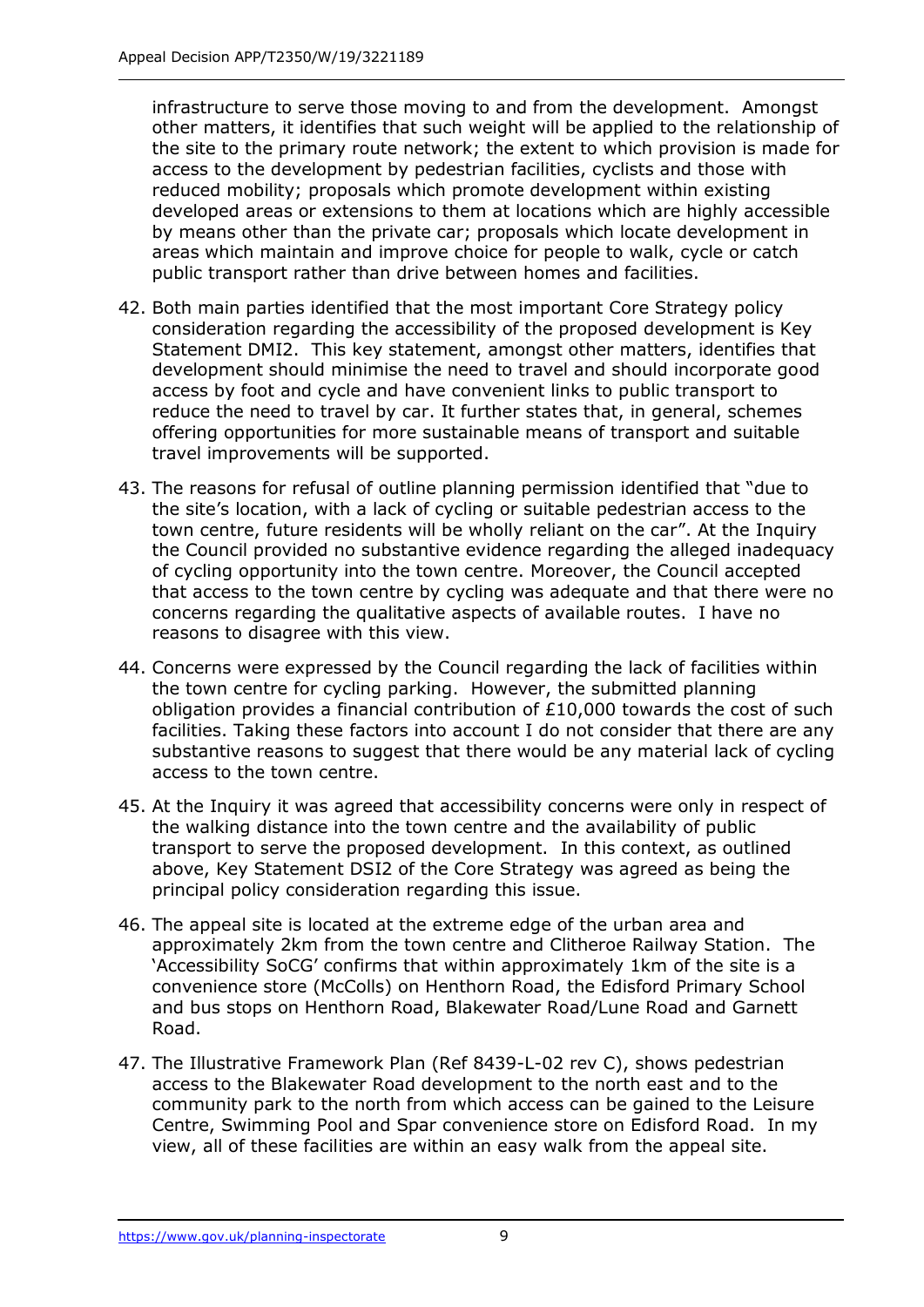infrastructure to serve those moving to and from the development. Amongst other matters, it identifies that such weight will be applied to the relationship of the site to the primary route network; the extent to which provision is made for access to the development by pedestrian facilities, cyclists and those with reduced mobility; proposals which promote development within existing developed areas or extensions to them at locations which are highly accessible by means other than the private car; proposals which locate development in areas which maintain and improve choice for people to walk, cycle or catch public transport rather than drive between homes and facilities.

- 42. Both main parties identified that the most important Core Strategy policy consideration regarding the accessibility of the proposed development is Key Statement DMI2. This key statement, amongst other matters, identifies that development should minimise the need to travel and should incorporate good access by foot and cycle and have convenient links to public transport to reduce the need to travel by car. It further states that, in general, schemes offering opportunities for more sustainable means of transport and suitable travel improvements will be supported.
- 43. The reasons for refusal of outline planning permission identified that "due to the site's location, with a lack of cycling or suitable pedestrian access to the town centre, future residents will be wholly reliant on the car". At the Inquiry the Council provided no substantive evidence regarding the alleged inadequacy of cycling opportunity into the town centre. Moreover, the Council accepted that access to the town centre by cycling was adequate and that there were no concerns regarding the qualitative aspects of available routes. I have no reasons to disagree with this view.
- 44. Concerns were expressed by the Council regarding the lack of facilities within the town centre for cycling parking. However, the submitted planning obligation provides a financial contribution of £10,000 towards the cost of such facilities. Taking these factors into account I do not consider that there are any substantive reasons to suggest that there would be any material lack of cycling access to the town centre.
- 45. At the Inquiry it was agreed that accessibility concerns were only in respect of the walking distance into the town centre and the availability of public transport to serve the proposed development. In this context, as outlined above, Key Statement DSI2 of the Core Strategy was agreed as being the principal policy consideration regarding this issue.
- 46. The appeal site is located at the extreme edge of the urban area and approximately 2km from the town centre and Clitheroe Railway Station. The 'Accessibility SoCG' confirms that within approximately 1km of the site is a convenience store (McColls) on Henthorn Road, the Edisford Primary School and bus stops on Henthorn Road, Blakewater Road/Lune Road and Garnett Road.
- 47. The Illustrative Framework Plan (Ref 8439-L-02 rev C), shows pedestrian access to the Blakewater Road development to the north east and to the community park to the north from which access can be gained to the Leisure Centre, Swimming Pool and Spar convenience store on Edisford Road. In my view, all of these facilities are within an easy walk from the appeal site.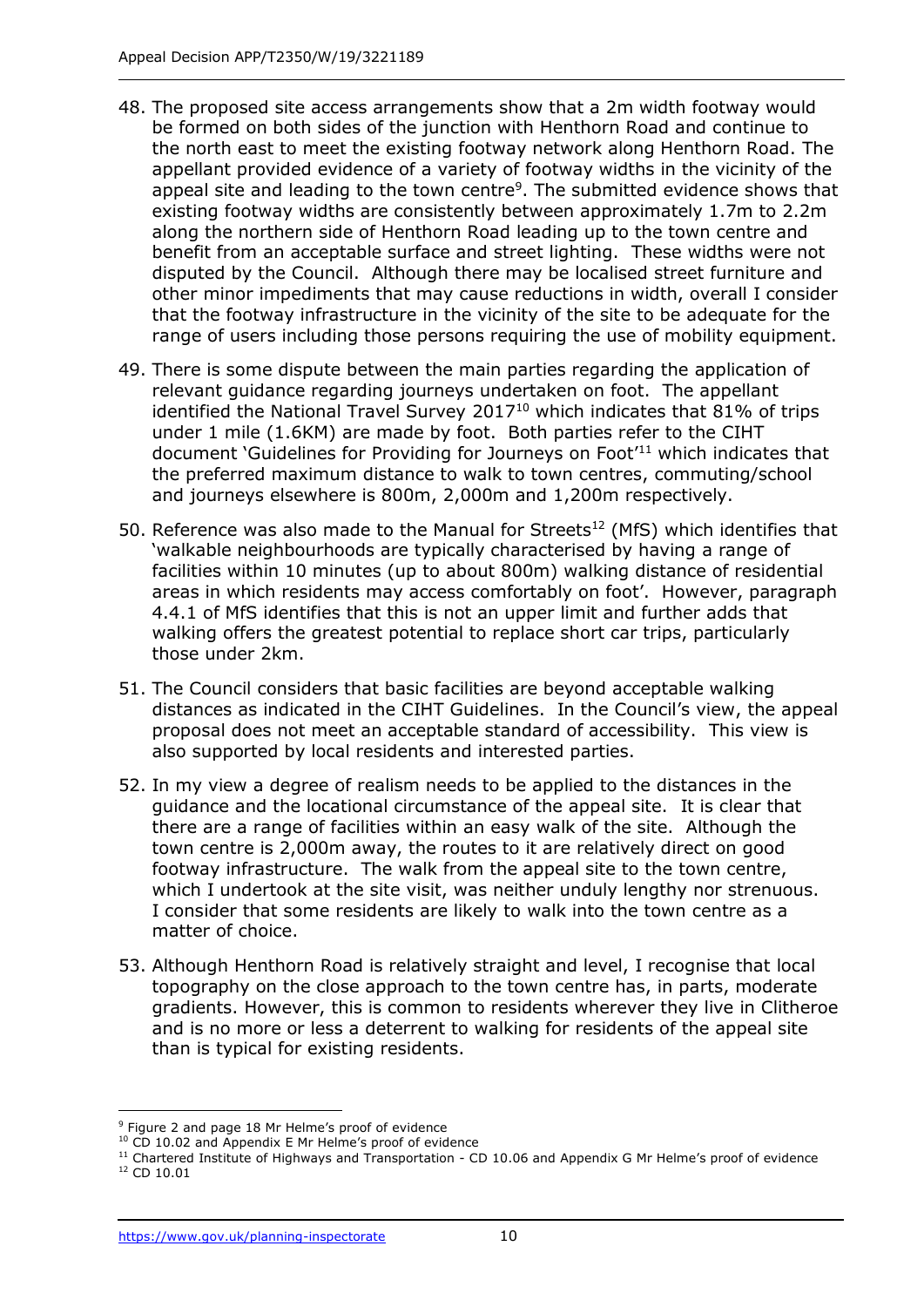- 48. The proposed site access arrangements show that a 2m width footway would be formed on both sides of the junction with Henthorn Road and continue to the north east to meet the existing footway network along Henthorn Road. The appellant provided evidence of a variety of footway widths in the vicinity of the appeal site and leading to the town centre<sup>9</sup>. The submitted evidence shows that existing footway widths are consistently between approximately 1.7m to 2.2m along the northern side of Henthorn Road leading up to the town centre and benefit from an acceptable surface and street lighting. These widths were not disputed by the Council. Although there may be localised street furniture and other minor impediments that may cause reductions in width, overall I consider that the footway infrastructure in the vicinity of the site to be adequate for the range of users including those persons requiring the use of mobility equipment.
- 49. There is some dispute between the main parties regarding the application of relevant guidance regarding journeys undertaken on foot. The appellant identified the National Travel Survey 2017<sup>10</sup> which indicates that 81% of trips under 1 mile (1.6KM) are made by foot. Both parties refer to the CIHT document 'Guidelines for Providing for Journeys on Foot<sup>'11</sup> which indicates that the preferred maximum distance to walk to town centres, commuting/school and journeys elsewhere is 800m, 2,000m and 1,200m respectively.
- 50. Reference was also made to the Manual for Streets<sup>12</sup> (MfS) which identifies that 'walkable neighbourhoods are typically characterised by having a range of facilities within 10 minutes (up to about 800m) walking distance of residential areas in which residents may access comfortably on foot'. However, paragraph 4.4.1 of MfS identifies that this is not an upper limit and further adds that walking offers the greatest potential to replace short car trips, particularly those under 2km.
- 51. The Council considers that basic facilities are beyond acceptable walking distances as indicated in the CIHT Guidelines. In the Council's view, the appeal proposal does not meet an acceptable standard of accessibility. This view is also supported by local residents and interested parties.
- 52. In my view a degree of realism needs to be applied to the distances in the guidance and the locational circumstance of the appeal site. It is clear that there are a range of facilities within an easy walk of the site. Although the town centre is 2,000m away, the routes to it are relatively direct on good footway infrastructure. The walk from the appeal site to the town centre, which I undertook at the site visit, was neither unduly lengthy nor strenuous. I consider that some residents are likely to walk into the town centre as a matter of choice.
- 53. Although Henthorn Road is relatively straight and level, I recognise that local topography on the close approach to the town centre has, in parts, moderate gradients. However, this is common to residents wherever they live in Clitheroe and is no more or less a deterrent to walking for residents of the appeal site than is typical for existing residents.

j

<sup>&</sup>lt;sup>9</sup> Figure 2 and page 18 Mr Helme's proof of evidence

<sup>&</sup>lt;sup>10</sup> CD 10.02 and Appendix E Mr Helme's proof of evidence

<sup>&</sup>lt;sup>11</sup> Chartered Institute of Highways and Transportation - CD 10.06 and Appendix G Mr Helme's proof of evidence <sup>12</sup> CD 10.01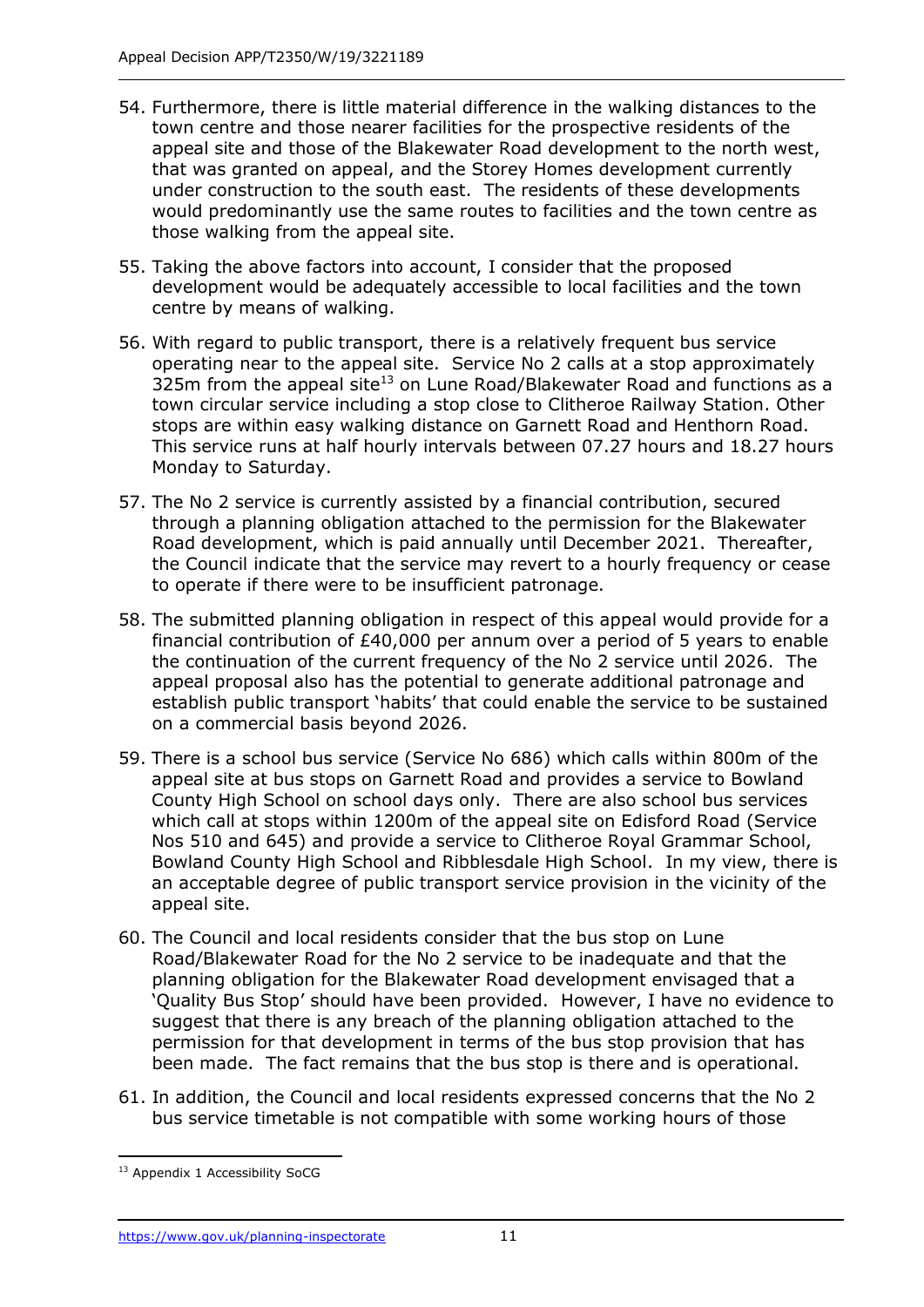- 54. Furthermore, there is little material difference in the walking distances to the town centre and those nearer facilities for the prospective residents of the appeal site and those of the Blakewater Road development to the north west, that was granted on appeal, and the Storey Homes development currently under construction to the south east. The residents of these developments would predominantly use the same routes to facilities and the town centre as those walking from the appeal site.
- 55. Taking the above factors into account, I consider that the proposed development would be adequately accessible to local facilities and the town centre by means of walking.
- 56. With regard to public transport, there is a relatively frequent bus service operating near to the appeal site. Service No 2 calls at a stop approximately 325m from the appeal site<sup>13</sup> on Lune Road/Blakewater Road and functions as a town circular service including a stop close to Clitheroe Railway Station. Other stops are within easy walking distance on Garnett Road and Henthorn Road. This service runs at half hourly intervals between 07.27 hours and 18.27 hours Monday to Saturday.
- 57. The No 2 service is currently assisted by a financial contribution, secured through a planning obligation attached to the permission for the Blakewater Road development, which is paid annually until December 2021. Thereafter, the Council indicate that the service may revert to a hourly frequency or cease to operate if there were to be insufficient patronage.
- 58. The submitted planning obligation in respect of this appeal would provide for a financial contribution of £40,000 per annum over a period of 5 years to enable the continuation of the current frequency of the No 2 service until 2026. The appeal proposal also has the potential to generate additional patronage and establish public transport 'habits' that could enable the service to be sustained on a commercial basis beyond 2026.
- 59. There is a school bus service (Service No 686) which calls within 800m of the appeal site at bus stops on Garnett Road and provides a service to Bowland County High School on school days only. There are also school bus services which call at stops within 1200m of the appeal site on Edisford Road (Service Nos 510 and 645) and provide a service to Clitheroe Royal Grammar School, Bowland County High School and Ribblesdale High School. In my view, there is an acceptable degree of public transport service provision in the vicinity of the appeal site.
- 60. The Council and local residents consider that the bus stop on Lune Road/Blakewater Road for the No 2 service to be inadequate and that the planning obligation for the Blakewater Road development envisaged that a 'Quality Bus Stop' should have been provided. However, I have no evidence to suggest that there is any breach of the planning obligation attached to the permission for that development in terms of the bus stop provision that has been made. The fact remains that the bus stop is there and is operational.
- 61. In addition, the Council and local residents expressed concerns that the No 2 bus service timetable is not compatible with some working hours of those

j <sup>13</sup> Appendix 1 Accessibility SoCG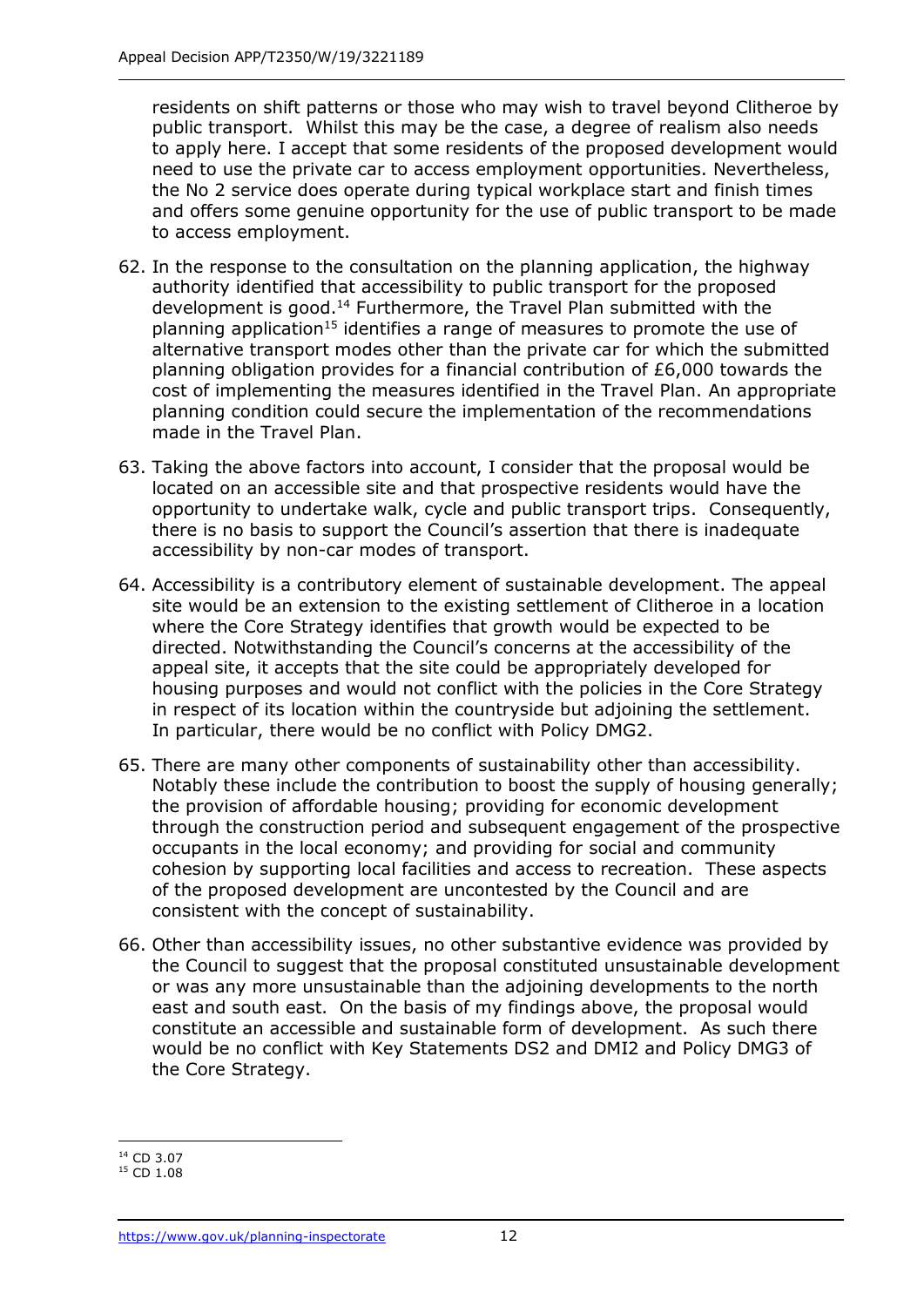residents on shift patterns or those who may wish to travel beyond Clitheroe by public transport. Whilst this may be the case, a degree of realism also needs to apply here. I accept that some residents of the proposed development would need to use the private car to access employment opportunities. Nevertheless, the No 2 service does operate during typical workplace start and finish times and offers some genuine opportunity for the use of public transport to be made to access employment.

- 62. In the response to the consultation on the planning application, the highway authority identified that accessibility to public transport for the proposed development is good.<sup>14</sup> Furthermore, the Travel Plan submitted with the planning application<sup>15</sup> identifies a range of measures to promote the use of alternative transport modes other than the private car for which the submitted planning obligation provides for a financial contribution of £6,000 towards the cost of implementing the measures identified in the Travel Plan. An appropriate planning condition could secure the implementation of the recommendations made in the Travel Plan.
- 63. Taking the above factors into account, I consider that the proposal would be located on an accessible site and that prospective residents would have the opportunity to undertake walk, cycle and public transport trips. Consequently, there is no basis to support the Council's assertion that there is inadequate accessibility by non-car modes of transport.
- 64. Accessibility is a contributory element of sustainable development. The appeal site would be an extension to the existing settlement of Clitheroe in a location where the Core Strategy identifies that growth would be expected to be directed. Notwithstanding the Council's concerns at the accessibility of the appeal site, it accepts that the site could be appropriately developed for housing purposes and would not conflict with the policies in the Core Strategy in respect of its location within the countryside but adjoining the settlement. In particular, there would be no conflict with Policy DMG2.
- 65. There are many other components of sustainability other than accessibility. Notably these include the contribution to boost the supply of housing generally; the provision of affordable housing; providing for economic development through the construction period and subsequent engagement of the prospective occupants in the local economy; and providing for social and community cohesion by supporting local facilities and access to recreation. These aspects of the proposed development are uncontested by the Council and are consistent with the concept of sustainability.
- 66. Other than accessibility issues, no other substantive evidence was provided by the Council to suggest that the proposal constituted unsustainable development or was any more unsustainable than the adjoining developments to the north east and south east. On the basis of my findings above, the proposal would constitute an accessible and sustainable form of development. As such there would be no conflict with Key Statements DS2 and DMI2 and Policy DMG3 of the Core Strategy.

<sup>-</sup><sup>14</sup> CD 3.07

<sup>&</sup>lt;sup>15</sup> CD 1.08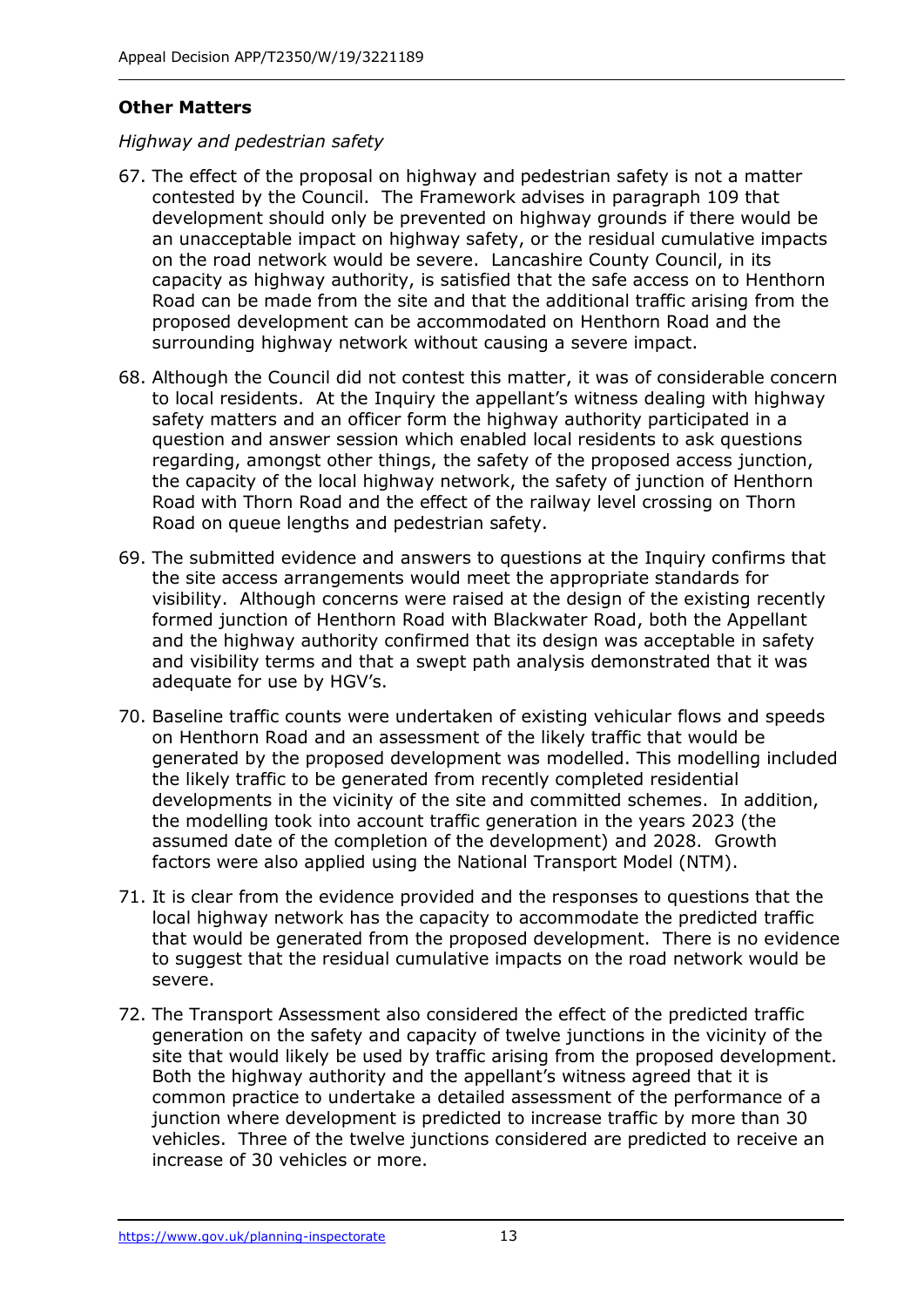## **Other Matters**

## *Highway and pedestrian safety*

- 67. The effect of the proposal on highway and pedestrian safety is not a matter contested by the Council. The Framework advises in paragraph 109 that development should only be prevented on highway grounds if there would be an unacceptable impact on highway safety, or the residual cumulative impacts on the road network would be severe. Lancashire County Council, in its capacity as highway authority, is satisfied that the safe access on to Henthorn Road can be made from the site and that the additional traffic arising from the proposed development can be accommodated on Henthorn Road and the surrounding highway network without causing a severe impact.
- 68. Although the Council did not contest this matter, it was of considerable concern to local residents. At the Inquiry the appellant's witness dealing with highway safety matters and an officer form the highway authority participated in a question and answer session which enabled local residents to ask questions regarding, amongst other things, the safety of the proposed access junction, the capacity of the local highway network, the safety of junction of Henthorn Road with Thorn Road and the effect of the railway level crossing on Thorn Road on queue lengths and pedestrian safety.
- 69. The submitted evidence and answers to questions at the Inquiry confirms that the site access arrangements would meet the appropriate standards for visibility. Although concerns were raised at the design of the existing recently formed junction of Henthorn Road with Blackwater Road, both the Appellant and the highway authority confirmed that its design was acceptable in safety and visibility terms and that a swept path analysis demonstrated that it was adequate for use by HGV's.
- 70. Baseline traffic counts were undertaken of existing vehicular flows and speeds on Henthorn Road and an assessment of the likely traffic that would be generated by the proposed development was modelled. This modelling included the likely traffic to be generated from recently completed residential developments in the vicinity of the site and committed schemes. In addition, the modelling took into account traffic generation in the years 2023 (the assumed date of the completion of the development) and 2028. Growth factors were also applied using the National Transport Model (NTM).
- 71. It is clear from the evidence provided and the responses to questions that the local highway network has the capacity to accommodate the predicted traffic that would be generated from the proposed development. There is no evidence to suggest that the residual cumulative impacts on the road network would be severe.
- 72. The Transport Assessment also considered the effect of the predicted traffic generation on the safety and capacity of twelve junctions in the vicinity of the site that would likely be used by traffic arising from the proposed development. Both the highway authority and the appellant's witness agreed that it is common practice to undertake a detailed assessment of the performance of a junction where development is predicted to increase traffic by more than 30 vehicles. Three of the twelve junctions considered are predicted to receive an increase of 30 vehicles or more.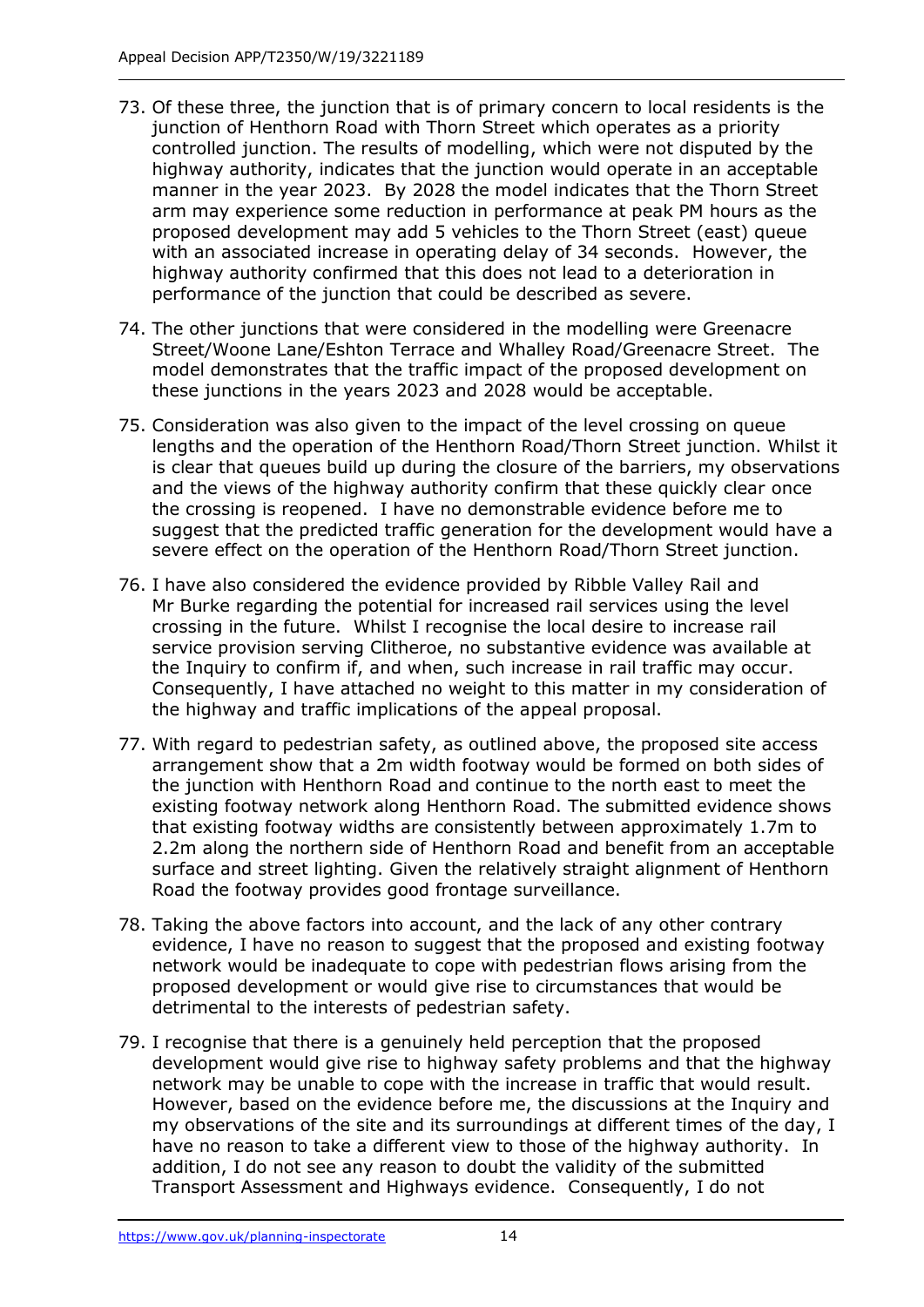- 73. Of these three, the junction that is of primary concern to local residents is the junction of Henthorn Road with Thorn Street which operates as a priority controlled junction. The results of modelling, which were not disputed by the highway authority, indicates that the junction would operate in an acceptable manner in the year 2023. By 2028 the model indicates that the Thorn Street arm may experience some reduction in performance at peak PM hours as the proposed development may add 5 vehicles to the Thorn Street (east) queue with an associated increase in operating delay of 34 seconds. However, the highway authority confirmed that this does not lead to a deterioration in performance of the junction that could be described as severe.
- 74. The other junctions that were considered in the modelling were Greenacre Street/Woone Lane/Eshton Terrace and Whalley Road/Greenacre Street. The model demonstrates that the traffic impact of the proposed development on these junctions in the years 2023 and 2028 would be acceptable.
- 75. Consideration was also given to the impact of the level crossing on queue lengths and the operation of the Henthorn Road/Thorn Street junction. Whilst it is clear that queues build up during the closure of the barriers, my observations and the views of the highway authority confirm that these quickly clear once the crossing is reopened. I have no demonstrable evidence before me to suggest that the predicted traffic generation for the development would have a severe effect on the operation of the Henthorn Road/Thorn Street junction.
- 76. I have also considered the evidence provided by Ribble Valley Rail and Mr Burke regarding the potential for increased rail services using the level crossing in the future. Whilst I recognise the local desire to increase rail service provision serving Clitheroe, no substantive evidence was available at the Inquiry to confirm if, and when, such increase in rail traffic may occur. Consequently, I have attached no weight to this matter in my consideration of the highway and traffic implications of the appeal proposal.
- 77. With regard to pedestrian safety, as outlined above, the proposed site access arrangement show that a 2m width footway would be formed on both sides of the junction with Henthorn Road and continue to the north east to meet the existing footway network along Henthorn Road. The submitted evidence shows that existing footway widths are consistently between approximately 1.7m to 2.2m along the northern side of Henthorn Road and benefit from an acceptable surface and street lighting. Given the relatively straight alignment of Henthorn Road the footway provides good frontage surveillance.
- 78. Taking the above factors into account, and the lack of any other contrary evidence, I have no reason to suggest that the proposed and existing footway network would be inadequate to cope with pedestrian flows arising from the proposed development or would give rise to circumstances that would be detrimental to the interests of pedestrian safety.
- 79. I recognise that there is a genuinely held perception that the proposed development would give rise to highway safety problems and that the highway network may be unable to cope with the increase in traffic that would result. However, based on the evidence before me, the discussions at the Inquiry and my observations of the site and its surroundings at different times of the day, I have no reason to take a different view to those of the highway authority. In addition, I do not see any reason to doubt the validity of the submitted Transport Assessment and Highways evidence. Consequently, I do not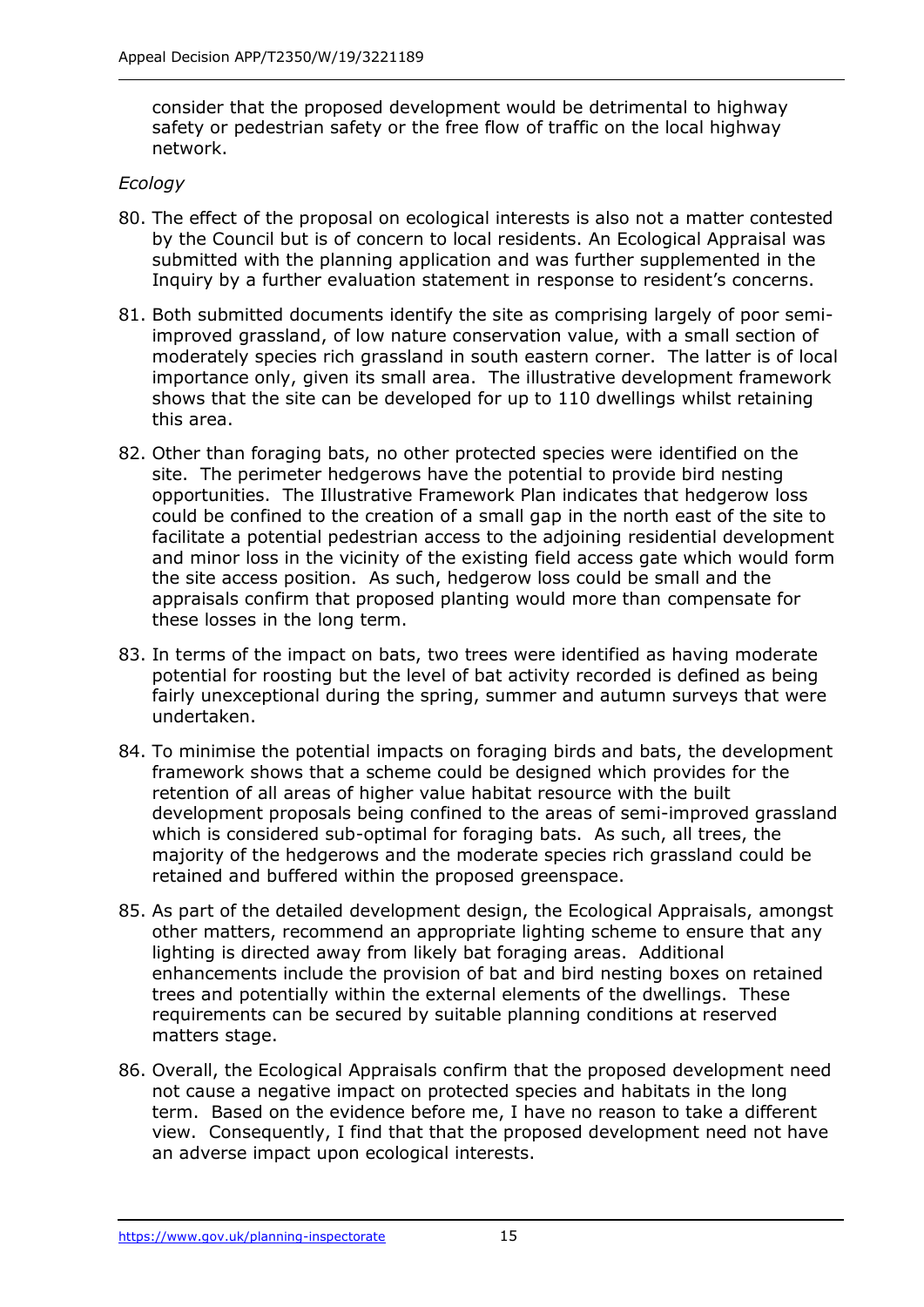consider that the proposed development would be detrimental to highway safety or pedestrian safety or the free flow of traffic on the local highway network.

## *Ecology*

- 80. The effect of the proposal on ecological interests is also not a matter contested by the Council but is of concern to local residents. An Ecological Appraisal was submitted with the planning application and was further supplemented in the Inquiry by a further evaluation statement in response to resident's concerns.
- 81. Both submitted documents identify the site as comprising largely of poor semiimproved grassland, of low nature conservation value, with a small section of moderately species rich grassland in south eastern corner. The latter is of local importance only, given its small area. The illustrative development framework shows that the site can be developed for up to 110 dwellings whilst retaining this area.
- 82. Other than foraging bats, no other protected species were identified on the site. The perimeter hedgerows have the potential to provide bird nesting opportunities. The Illustrative Framework Plan indicates that hedgerow loss could be confined to the creation of a small gap in the north east of the site to facilitate a potential pedestrian access to the adjoining residential development and minor loss in the vicinity of the existing field access gate which would form the site access position. As such, hedgerow loss could be small and the appraisals confirm that proposed planting would more than compensate for these losses in the long term.
- 83. In terms of the impact on bats, two trees were identified as having moderate potential for roosting but the level of bat activity recorded is defined as being fairly unexceptional during the spring, summer and autumn surveys that were undertaken.
- 84. To minimise the potential impacts on foraging birds and bats, the development framework shows that a scheme could be designed which provides for the retention of all areas of higher value habitat resource with the built development proposals being confined to the areas of semi-improved grassland which is considered sub-optimal for foraging bats. As such, all trees, the majority of the hedgerows and the moderate species rich grassland could be retained and buffered within the proposed greenspace.
- 85. As part of the detailed development design, the Ecological Appraisals, amongst other matters, recommend an appropriate lighting scheme to ensure that any lighting is directed away from likely bat foraging areas. Additional enhancements include the provision of bat and bird nesting boxes on retained trees and potentially within the external elements of the dwellings. These requirements can be secured by suitable planning conditions at reserved matters stage.
- 86. Overall, the Ecological Appraisals confirm that the proposed development need not cause a negative impact on protected species and habitats in the long term. Based on the evidence before me, I have no reason to take a different view. Consequently, I find that that the proposed development need not have an adverse impact upon ecological interests.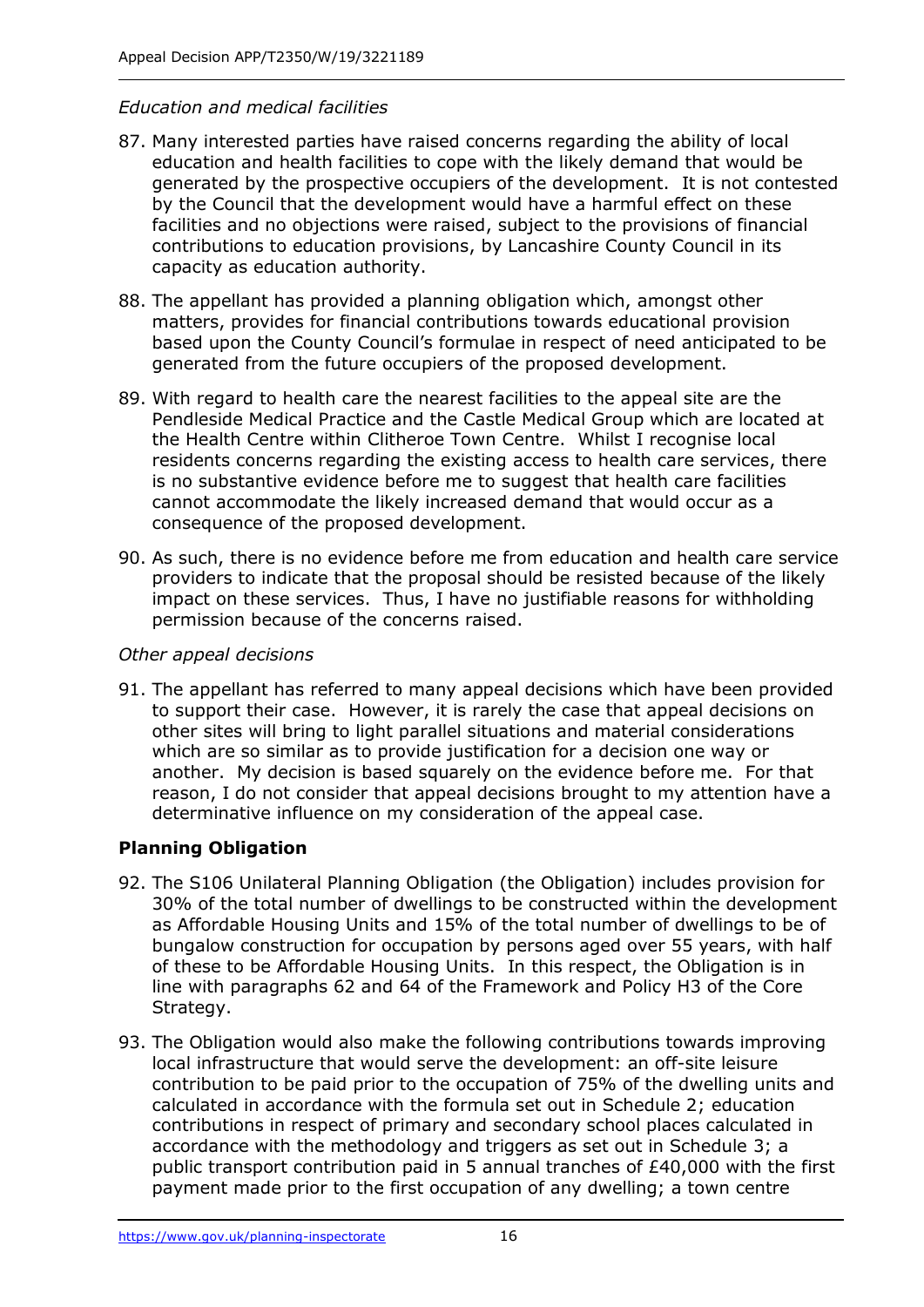## *Education and medical facilities*

- 87. Many interested parties have raised concerns regarding the ability of local education and health facilities to cope with the likely demand that would be generated by the prospective occupiers of the development. It is not contested by the Council that the development would have a harmful effect on these facilities and no objections were raised, subject to the provisions of financial contributions to education provisions, by Lancashire County Council in its capacity as education authority.
- 88. The appellant has provided a planning obligation which, amongst other matters, provides for financial contributions towards educational provision based upon the County Council's formulae in respect of need anticipated to be generated from the future occupiers of the proposed development.
- 89. With regard to health care the nearest facilities to the appeal site are the Pendleside Medical Practice and the Castle Medical Group which are located at the Health Centre within Clitheroe Town Centre. Whilst I recognise local residents concerns regarding the existing access to health care services, there is no substantive evidence before me to suggest that health care facilities cannot accommodate the likely increased demand that would occur as a consequence of the proposed development.
- 90. As such, there is no evidence before me from education and health care service providers to indicate that the proposal should be resisted because of the likely impact on these services. Thus, I have no justifiable reasons for withholding permission because of the concerns raised.

#### *Other appeal decisions*

91. The appellant has referred to many appeal decisions which have been provided to support their case. However, it is rarely the case that appeal decisions on other sites will bring to light parallel situations and material considerations which are so similar as to provide justification for a decision one way or another. My decision is based squarely on the evidence before me. For that reason, I do not consider that appeal decisions brought to my attention have a determinative influence on my consideration of the appeal case.

## **Planning Obligation**

- 92. The S106 Unilateral Planning Obligation (the Obligation) includes provision for 30% of the total number of dwellings to be constructed within the development as Affordable Housing Units and 15% of the total number of dwellings to be of bungalow construction for occupation by persons aged over 55 years, with half of these to be Affordable Housing Units. In this respect, the Obligation is in line with paragraphs 62 and 64 of the Framework and Policy H3 of the Core Strategy.
- 93. The Obligation would also make the following contributions towards improving local infrastructure that would serve the development: an off-site leisure contribution to be paid prior to the occupation of 75% of the dwelling units and calculated in accordance with the formula set out in Schedule 2; education contributions in respect of primary and secondary school places calculated in accordance with the methodology and triggers as set out in Schedule 3; a public transport contribution paid in 5 annual tranches of £40,000 with the first payment made prior to the first occupation of any dwelling; a town centre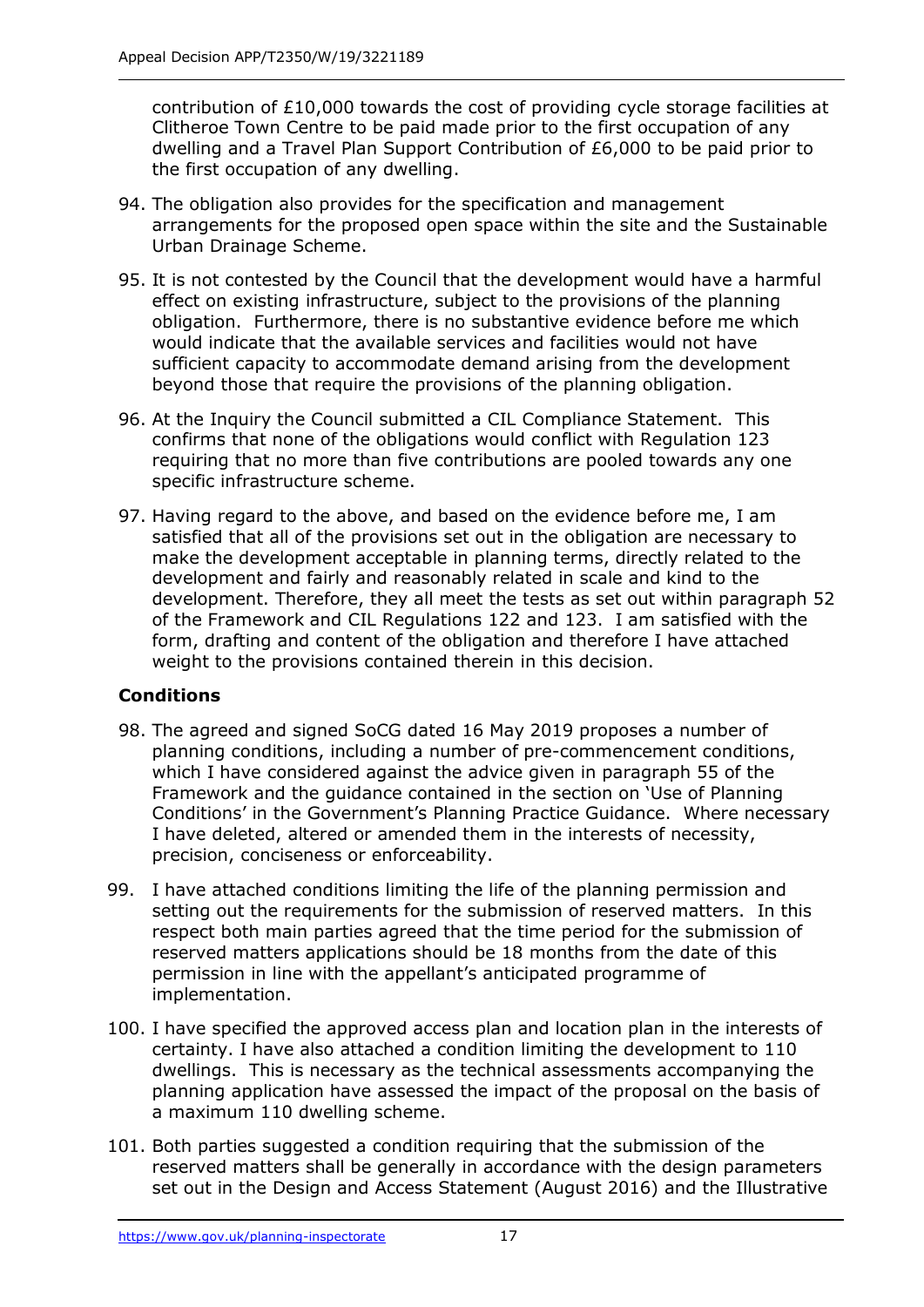contribution of £10,000 towards the cost of providing cycle storage facilities at Clitheroe Town Centre to be paid made prior to the first occupation of any dwelling and a Travel Plan Support Contribution of £6,000 to be paid prior to the first occupation of any dwelling.

- 94. The obligation also provides for the specification and management arrangements for the proposed open space within the site and the Sustainable Urban Drainage Scheme.
- 95. It is not contested by the Council that the development would have a harmful effect on existing infrastructure, subject to the provisions of the planning obligation. Furthermore, there is no substantive evidence before me which would indicate that the available services and facilities would not have sufficient capacity to accommodate demand arising from the development beyond those that require the provisions of the planning obligation.
- 96. At the Inquiry the Council submitted a CIL Compliance Statement. This confirms that none of the obligations would conflict with Regulation 123 requiring that no more than five contributions are pooled towards any one specific infrastructure scheme.
- 97. Having regard to the above, and based on the evidence before me, I am satisfied that all of the provisions set out in the obligation are necessary to make the development acceptable in planning terms, directly related to the development and fairly and reasonably related in scale and kind to the development. Therefore, they all meet the tests as set out within paragraph 52 of the Framework and CIL Regulations 122 and 123. I am satisfied with the form, drafting and content of the obligation and therefore I have attached weight to the provisions contained therein in this decision.

## **Conditions**

- 98. The agreed and signed SoCG dated 16 May 2019 proposes a number of planning conditions, including a number of pre-commencement conditions, which I have considered against the advice given in paragraph 55 of the Framework and the guidance contained in the section on 'Use of Planning Conditions' in the Government's Planning Practice Guidance. Where necessary I have deleted, altered or amended them in the interests of necessity, precision, conciseness or enforceability.
- 99. I have attached conditions limiting the life of the planning permission and setting out the requirements for the submission of reserved matters. In this respect both main parties agreed that the time period for the submission of reserved matters applications should be 18 months from the date of this permission in line with the appellant's anticipated programme of implementation.
- 100. I have specified the approved access plan and location plan in the interests of certainty. I have also attached a condition limiting the development to 110 dwellings. This is necessary as the technical assessments accompanying the planning application have assessed the impact of the proposal on the basis of a maximum 110 dwelling scheme.
- 101. Both parties suggested a condition requiring that the submission of the reserved matters shall be generally in accordance with the design parameters set out in the Design and Access Statement (August 2016) and the Illustrative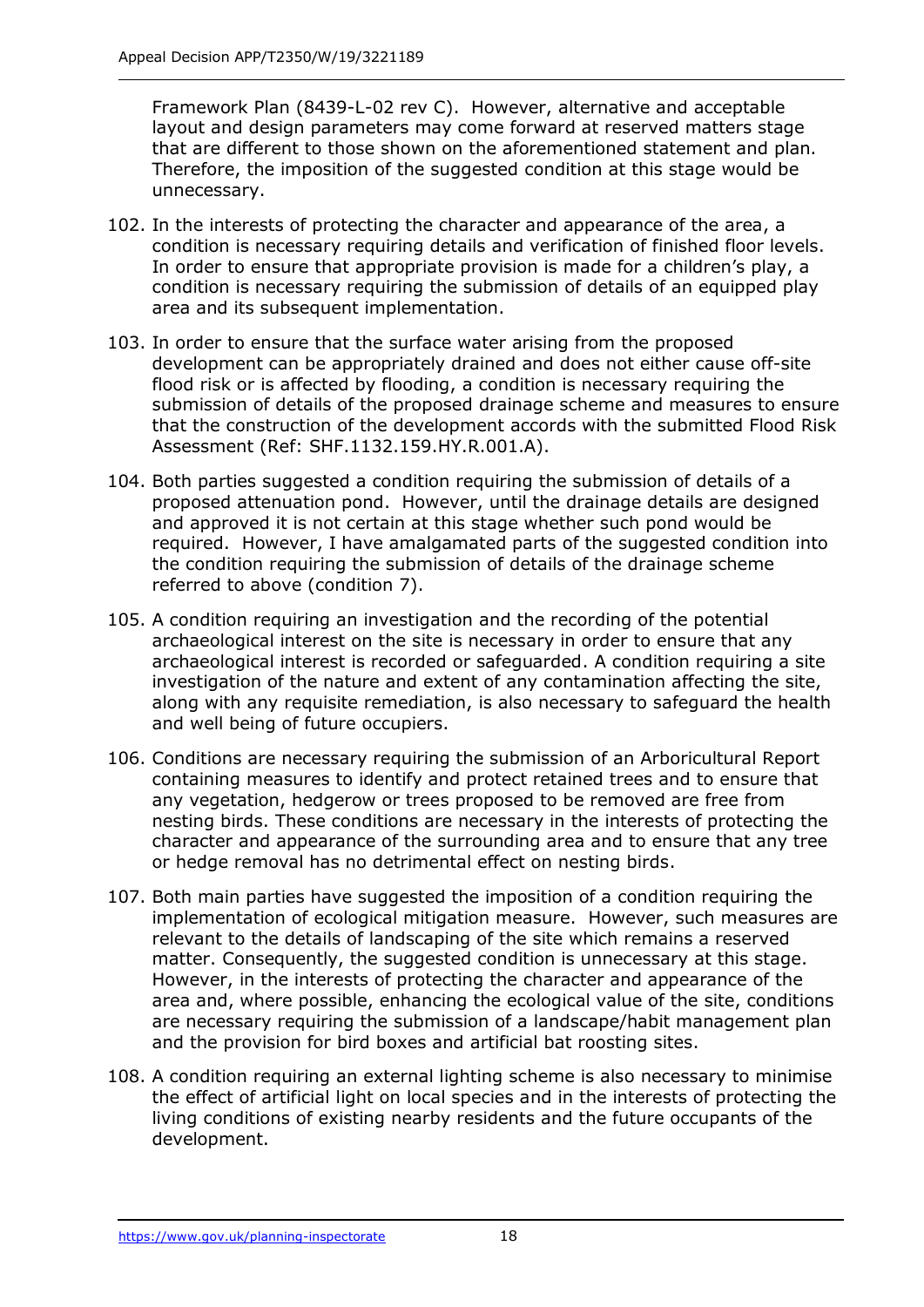Framework Plan (8439-L-02 rev C). However, alternative and acceptable layout and design parameters may come forward at reserved matters stage that are different to those shown on the aforementioned statement and plan. Therefore, the imposition of the suggested condition at this stage would be unnecessary.

- 102. In the interests of protecting the character and appearance of the area, a condition is necessary requiring details and verification of finished floor levels. In order to ensure that appropriate provision is made for a children's play, a condition is necessary requiring the submission of details of an equipped play area and its subsequent implementation.
- 103. In order to ensure that the surface water arising from the proposed development can be appropriately drained and does not either cause off-site flood risk or is affected by flooding, a condition is necessary requiring the submission of details of the proposed drainage scheme and measures to ensure that the construction of the development accords with the submitted Flood Risk Assessment (Ref: SHF.1132.159.HY.R.001.A).
- 104. Both parties suggested a condition requiring the submission of details of a proposed attenuation pond. However, until the drainage details are designed and approved it is not certain at this stage whether such pond would be required. However, I have amalgamated parts of the suggested condition into the condition requiring the submission of details of the drainage scheme referred to above (condition 7).
- 105. A condition requiring an investigation and the recording of the potential archaeological interest on the site is necessary in order to ensure that any archaeological interest is recorded or safeguarded. A condition requiring a site investigation of the nature and extent of any contamination affecting the site, along with any requisite remediation, is also necessary to safeguard the health and well being of future occupiers.
- 106. Conditions are necessary requiring the submission of an Arboricultural Report containing measures to identify and protect retained trees and to ensure that any vegetation, hedgerow or trees proposed to be removed are free from nesting birds. These conditions are necessary in the interests of protecting the character and appearance of the surrounding area and to ensure that any tree or hedge removal has no detrimental effect on nesting birds.
- 107. Both main parties have suggested the imposition of a condition requiring the implementation of ecological mitigation measure. However, such measures are relevant to the details of landscaping of the site which remains a reserved matter. Consequently, the suggested condition is unnecessary at this stage. However, in the interests of protecting the character and appearance of the area and, where possible, enhancing the ecological value of the site, conditions are necessary requiring the submission of a landscape/habit management plan and the provision for bird boxes and artificial bat roosting sites.
- 108. A condition requiring an external lighting scheme is also necessary to minimise the effect of artificial light on local species and in the interests of protecting the living conditions of existing nearby residents and the future occupants of the development.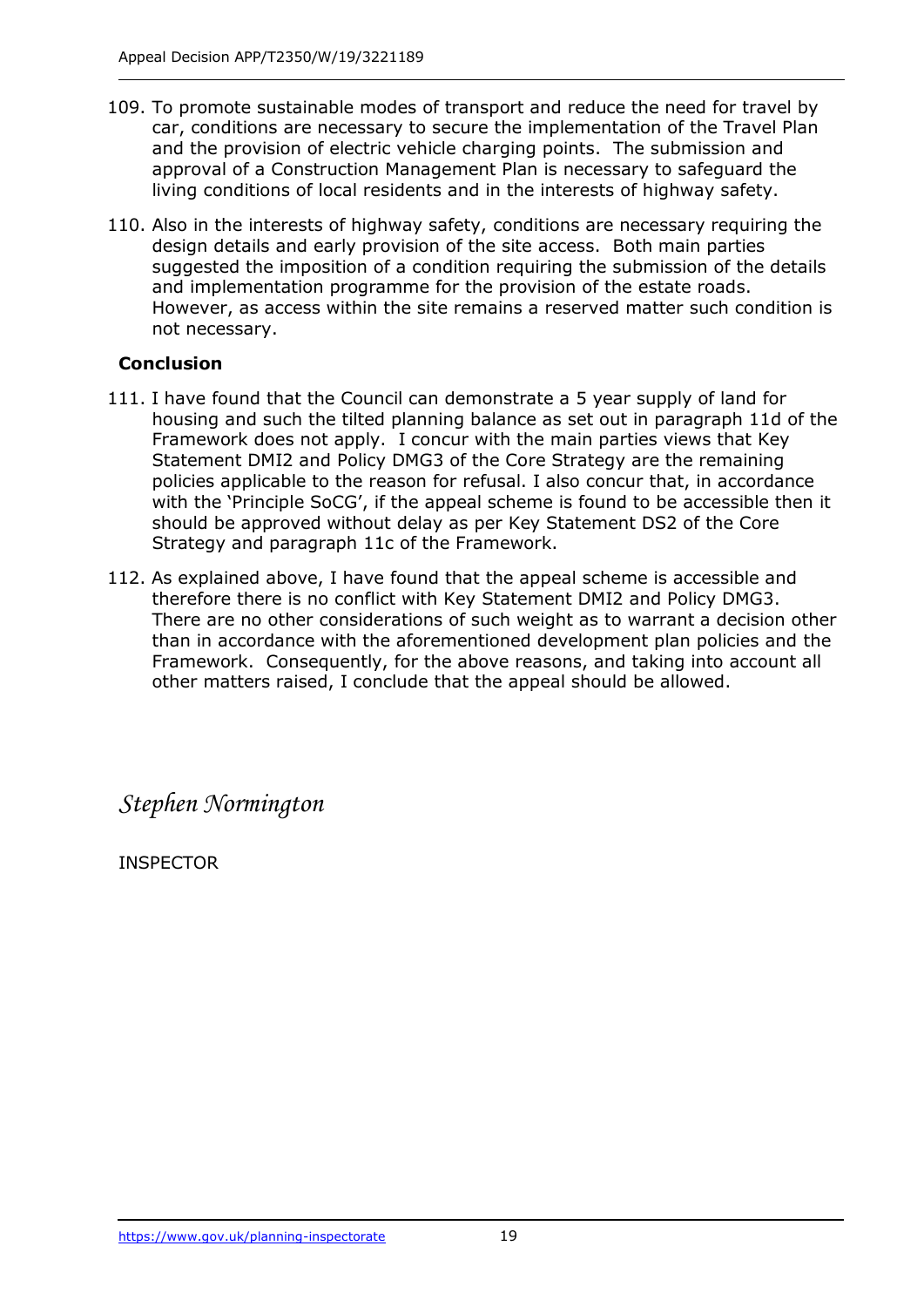- 109. To promote sustainable modes of transport and reduce the need for travel by car, conditions are necessary to secure the implementation of the Travel Plan and the provision of electric vehicle charging points. The submission and approval of a Construction Management Plan is necessary to safeguard the living conditions of local residents and in the interests of highway safety.
- 110. Also in the interests of highway safety, conditions are necessary requiring the design details and early provision of the site access. Both main parties suggested the imposition of a condition requiring the submission of the details and implementation programme for the provision of the estate roads. However, as access within the site remains a reserved matter such condition is not necessary.

## **Conclusion**

- 111. I have found that the Council can demonstrate a 5 year supply of land for housing and such the tilted planning balance as set out in paragraph 11d of the Framework does not apply. I concur with the main parties views that Key Statement DMI2 and Policy DMG3 of the Core Strategy are the remaining policies applicable to the reason for refusal. I also concur that, in accordance with the 'Principle SoCG', if the appeal scheme is found to be accessible then it should be approved without delay as per Key Statement DS2 of the Core Strategy and paragraph 11c of the Framework.
- 112. As explained above, I have found that the appeal scheme is accessible and therefore there is no conflict with Key Statement DMI2 and Policy DMG3. There are no other considerations of such weight as to warrant a decision other than in accordance with the aforementioned development plan policies and the Framework. Consequently, for the above reasons, and taking into account all other matters raised, I conclude that the appeal should be allowed.

*Stephen Normington*

INSPECTOR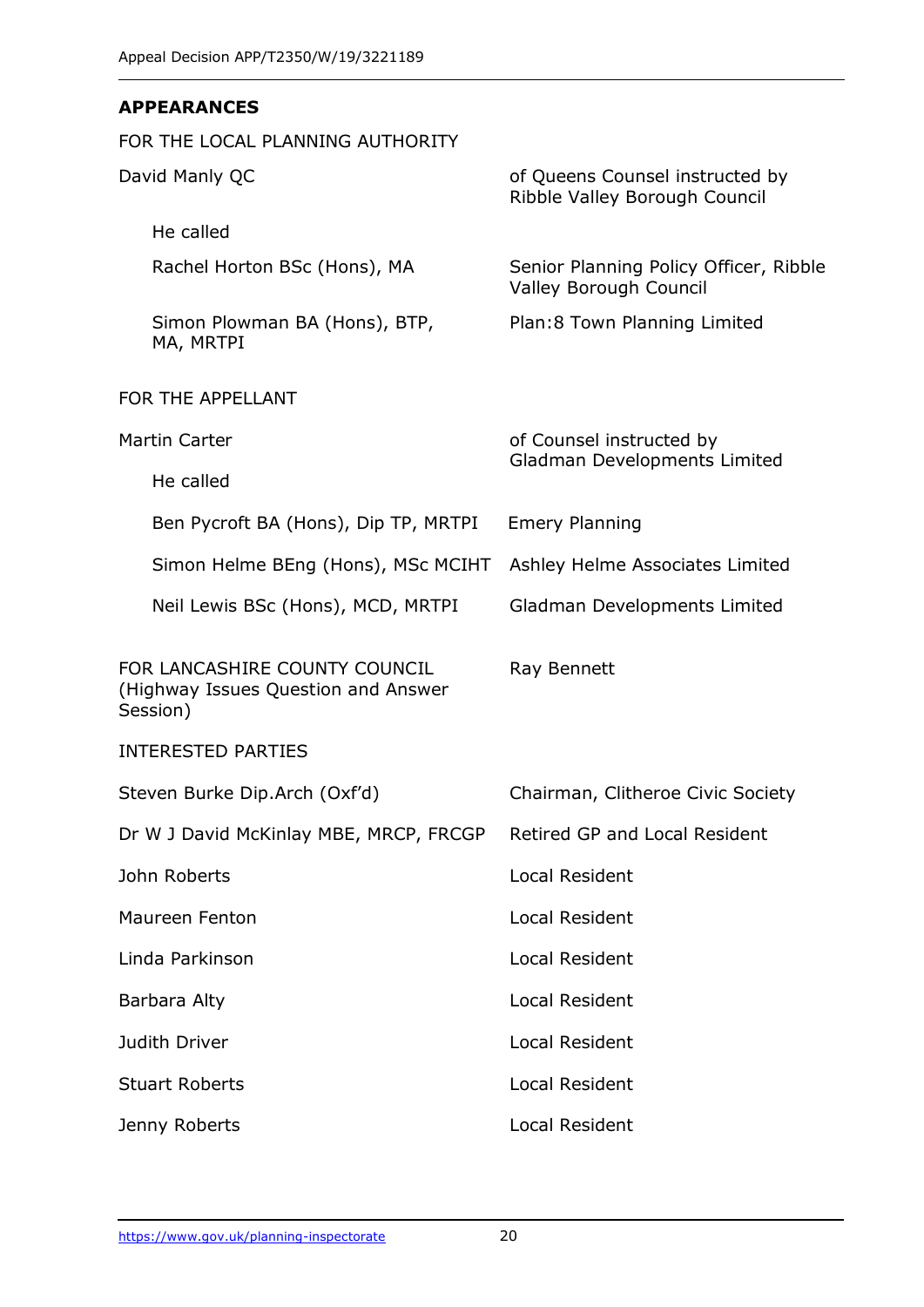## **APPEARANCES**

| FOR THE LOCAL PLANNING AUTHORITY                                                 |                                                                  |
|----------------------------------------------------------------------------------|------------------------------------------------------------------|
| David Manly QC                                                                   | of Queens Counsel instructed by<br>Ribble Valley Borough Council |
| He called                                                                        |                                                                  |
| Rachel Horton BSc (Hons), MA                                                     | Senior Planning Policy Officer, Ribble<br>Valley Borough Council |
| Simon Plowman BA (Hons), BTP,<br>MA, MRTPI                                       | Plan: 8 Town Planning Limited                                    |
| FOR THE APPELLANT                                                                |                                                                  |
| <b>Martin Carter</b>                                                             | of Counsel instructed by<br>Gladman Developments Limited         |
| He called                                                                        |                                                                  |
| Ben Pycroft BA (Hons), Dip TP, MRTPI                                             | <b>Emery Planning</b>                                            |
| Simon Helme BEng (Hons), MSc MCIHT                                               | Ashley Helme Associates Limited                                  |
| Neil Lewis BSc (Hons), MCD, MRTPI                                                | Gladman Developments Limited                                     |
| FOR LANCASHIRE COUNTY COUNCIL<br>(Highway Issues Question and Answer<br>Session) | Ray Bennett                                                      |
| <b>INTERESTED PARTIES</b>                                                        |                                                                  |
| Steven Burke Dip.Arch (Oxf'd)                                                    | Chairman, Clitheroe Civic Society                                |
| Dr W J David McKinlay MBE, MRCP, FRCGP                                           | Retired GP and Local Resident                                    |
| John Roberts                                                                     | Local Resident                                                   |
| Maureen Fenton                                                                   | <b>Local Resident</b>                                            |
| Linda Parkinson                                                                  | Local Resident                                                   |
| Barbara Alty                                                                     | <b>Local Resident</b>                                            |
| Judith Driver                                                                    | <b>Local Resident</b>                                            |
| <b>Stuart Roberts</b>                                                            | <b>Local Resident</b>                                            |
| Jenny Roberts                                                                    | Local Resident                                                   |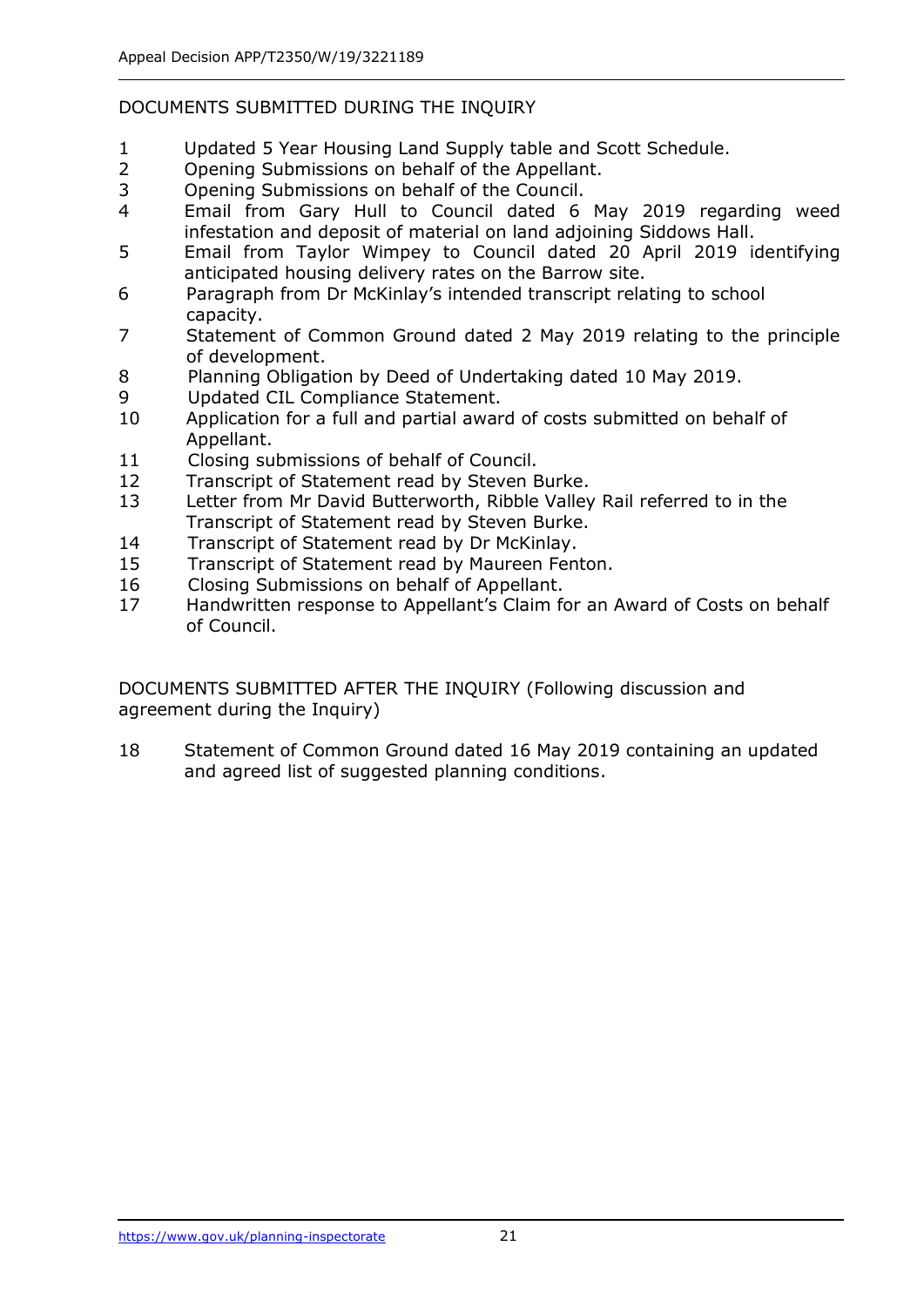## DOCUMENTS SUBMITTED DURING THE INQUIRY

- 1 Updated 5 Year Housing Land Supply table and Scott Schedule.
- 2 Opening Submissions on behalf of the Appellant.
- 3 Opening Submissions on behalf of the Council.
- 4 Email from Gary Hull to Council dated 6 May 2019 regarding weed infestation and deposit of material on land adjoining Siddows Hall.
- 5 Email from Taylor Wimpey to Council dated 20 April 2019 identifying anticipated housing delivery rates on the Barrow site.
- 6 Paragraph from Dr McKinlay's intended transcript relating to school capacity.
- 7 Statement of Common Ground dated 2 May 2019 relating to the principle of development.
- 8 Planning Obligation by Deed of Undertaking dated 10 May 2019.
- 9 Updated CIL Compliance Statement.
- 10 Application for a full and partial award of costs submitted on behalf of Appellant.
- 11 Closing submissions of behalf of Council.
- 12 Transcript of Statement read by Steven Burke.
- 13 Letter from Mr David Butterworth, Ribble Valley Rail referred to in the Transcript of Statement read by Steven Burke.
- 14 Transcript of Statement read by Dr McKinlay.
- 15 Transcript of Statement read by Maureen Fenton.
- 16 Closing Submissions on behalf of Appellant.
- 17 Handwritten response to Appellant's Claim for an Award of Costs on behalf of Council.

DOCUMENTS SUBMITTED AFTER THE INQUIRY (Following discussion and agreement during the Inquiry)

18 Statement of Common Ground dated 16 May 2019 containing an updated and agreed list of suggested planning conditions.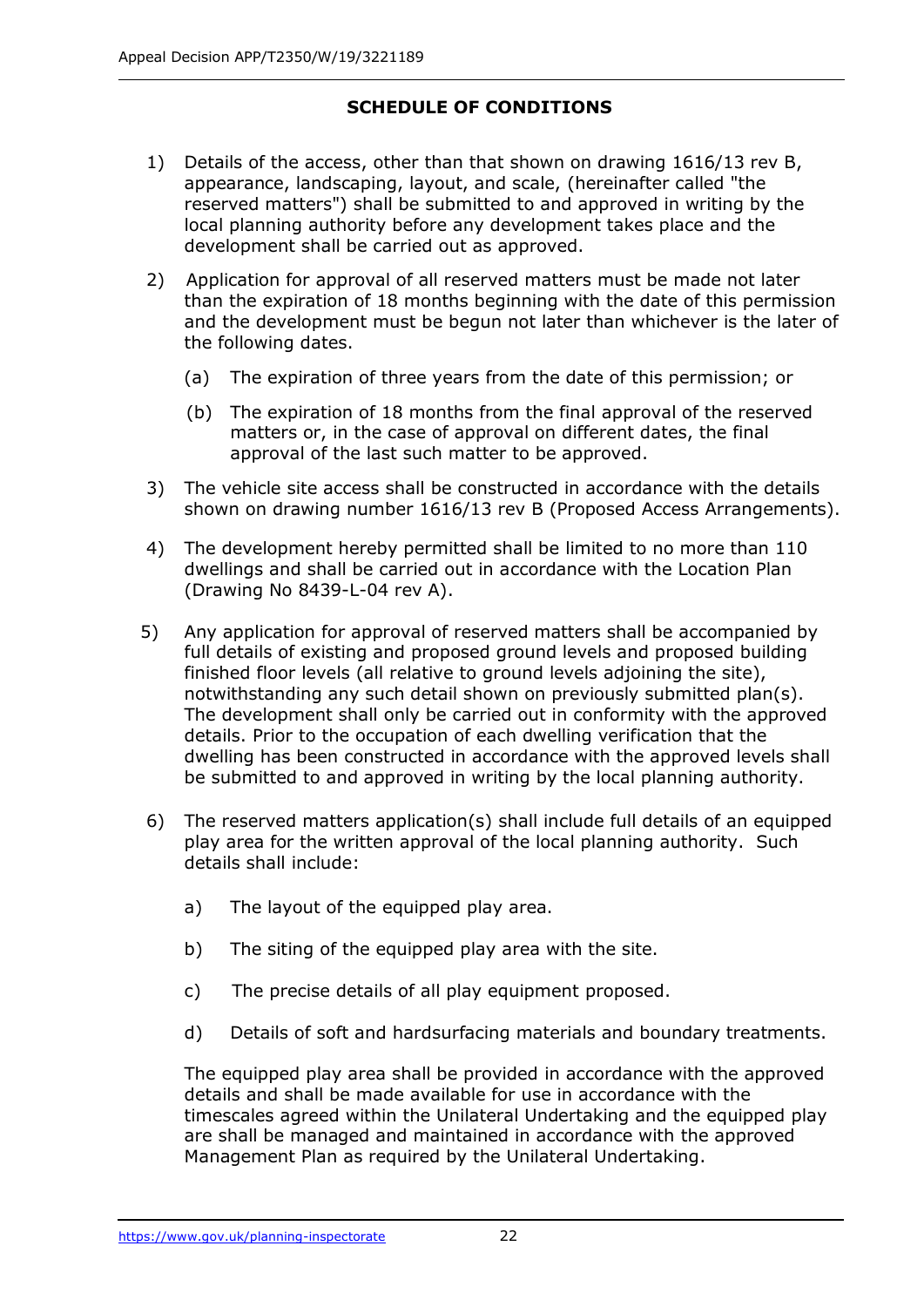## **SCHEDULE OF CONDITIONS**

- 1) Details of the access, other than that shown on drawing 1616/13 rev B, appearance, landscaping, layout, and scale, (hereinafter called "the reserved matters") shall be submitted to and approved in writing by the local planning authority before any development takes place and the development shall be carried out as approved.
- 2) Application for approval of all reserved matters must be made not later than the expiration of 18 months beginning with the date of this permission and the development must be begun not later than whichever is the later of the following dates.
	- (a) The expiration of three years from the date of this permission; or
	- (b) The expiration of 18 months from the final approval of the reserved matters or, in the case of approval on different dates, the final approval of the last such matter to be approved.
- 3) The vehicle site access shall be constructed in accordance with the details shown on drawing number 1616/13 rev B (Proposed Access Arrangements).
- 4) The development hereby permitted shall be limited to no more than 110 dwellings and shall be carried out in accordance with the Location Plan (Drawing No 8439-L-04 rev A).
- 5) Any application for approval of reserved matters shall be accompanied by full details of existing and proposed ground levels and proposed building finished floor levels (all relative to ground levels adjoining the site), notwithstanding any such detail shown on previously submitted plan(s). The development shall only be carried out in conformity with the approved details. Prior to the occupation of each dwelling verification that the dwelling has been constructed in accordance with the approved levels shall be submitted to and approved in writing by the local planning authority.
- 6) The reserved matters application(s) shall include full details of an equipped play area for the written approval of the local planning authority. Such details shall include:
	- a) The layout of the equipped play area.
	- b) The siting of the equipped play area with the site.
	- c) The precise details of all play equipment proposed.
	- d) Details of soft and hardsurfacing materials and boundary treatments.

The equipped play area shall be provided in accordance with the approved details and shall be made available for use in accordance with the timescales agreed within the Unilateral Undertaking and the equipped play are shall be managed and maintained in accordance with the approved Management Plan as required by the Unilateral Undertaking.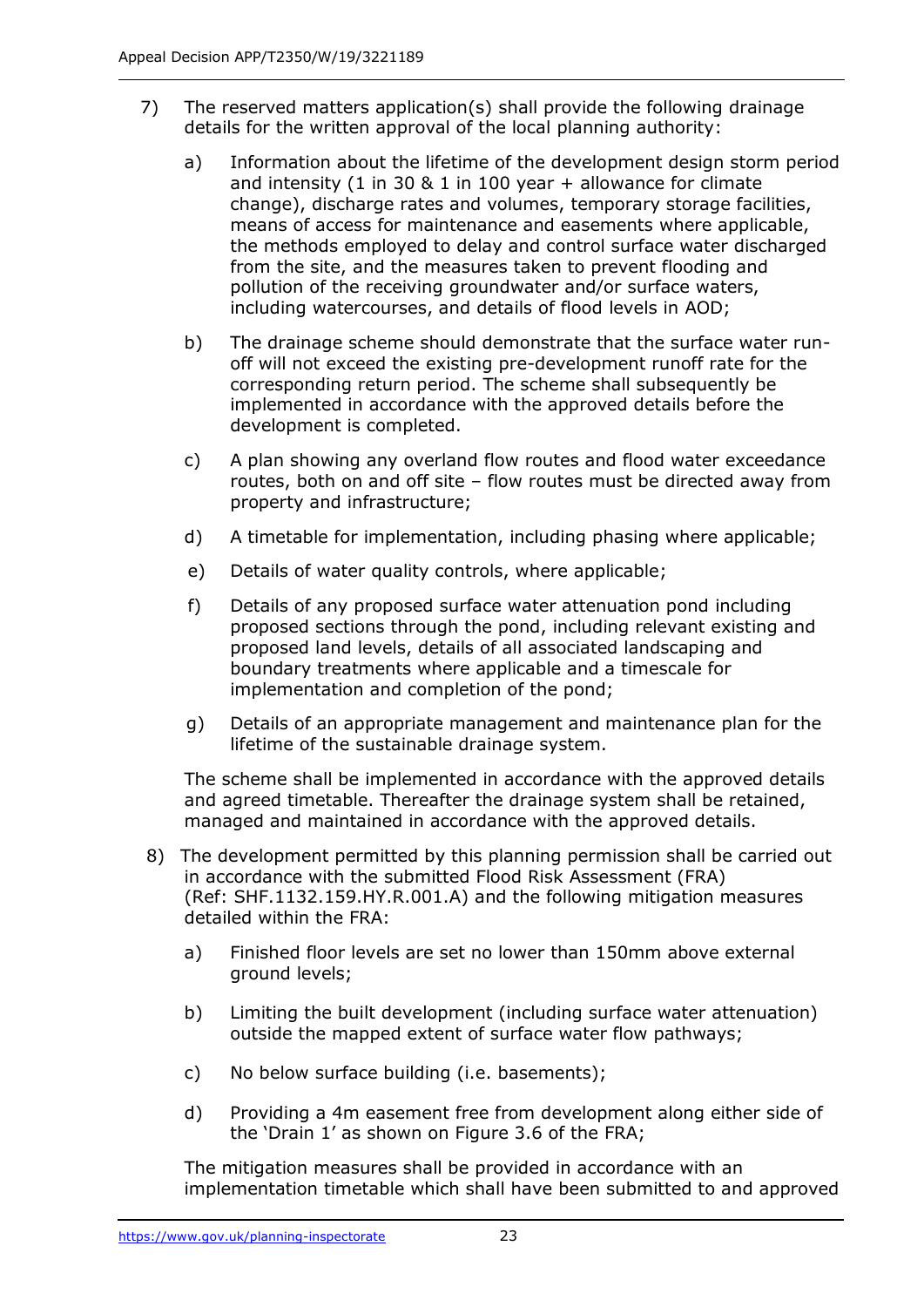- 7) The reserved matters application(s) shall provide the following drainage details for the written approval of the local planning authority:
	- a) Information about the lifetime of the development design storm period and intensity  $(1 \text{ in } 30 \& 1 \text{ in } 100 \text{ year} + \text{allowance for climate})$ change), discharge rates and volumes, temporary storage facilities, means of access for maintenance and easements where applicable, the methods employed to delay and control surface water discharged from the site, and the measures taken to prevent flooding and pollution of the receiving groundwater and/or surface waters, including watercourses, and details of flood levels in AOD;
	- b) The drainage scheme should demonstrate that the surface water runoff will not exceed the existing pre-development runoff rate for the corresponding return period. The scheme shall subsequently be implemented in accordance with the approved details before the development is completed.
	- c) A plan showing any overland flow routes and flood water exceedance routes, both on and off site – flow routes must be directed away from property and infrastructure;
	- d) A timetable for implementation, including phasing where applicable;
	- e) Details of water quality controls, where applicable;
	- f) Details of any proposed surface water attenuation pond including proposed sections through the pond, including relevant existing and proposed land levels, details of all associated landscaping and boundary treatments where applicable and a timescale for implementation and completion of the pond;
	- g) Details of an appropriate management and maintenance plan for the lifetime of the sustainable drainage system.

The scheme shall be implemented in accordance with the approved details and agreed timetable. Thereafter the drainage system shall be retained, managed and maintained in accordance with the approved details.

- 8) The development permitted by this planning permission shall be carried out in accordance with the submitted Flood Risk Assessment (FRA) (Ref: SHF.1132.159.HY.R.001.A) and the following mitigation measures detailed within the FRA:
	- a) Finished floor levels are set no lower than 150mm above external ground levels;
	- b) Limiting the built development (including surface water attenuation) outside the mapped extent of surface water flow pathways;
	- c) No below surface building (i.e. basements);
	- d) Providing a 4m easement free from development along either side of the 'Drain 1' as shown on Figure 3.6 of the FRA;

The mitigation measures shall be provided in accordance with an implementation timetable which shall have been submitted to and approved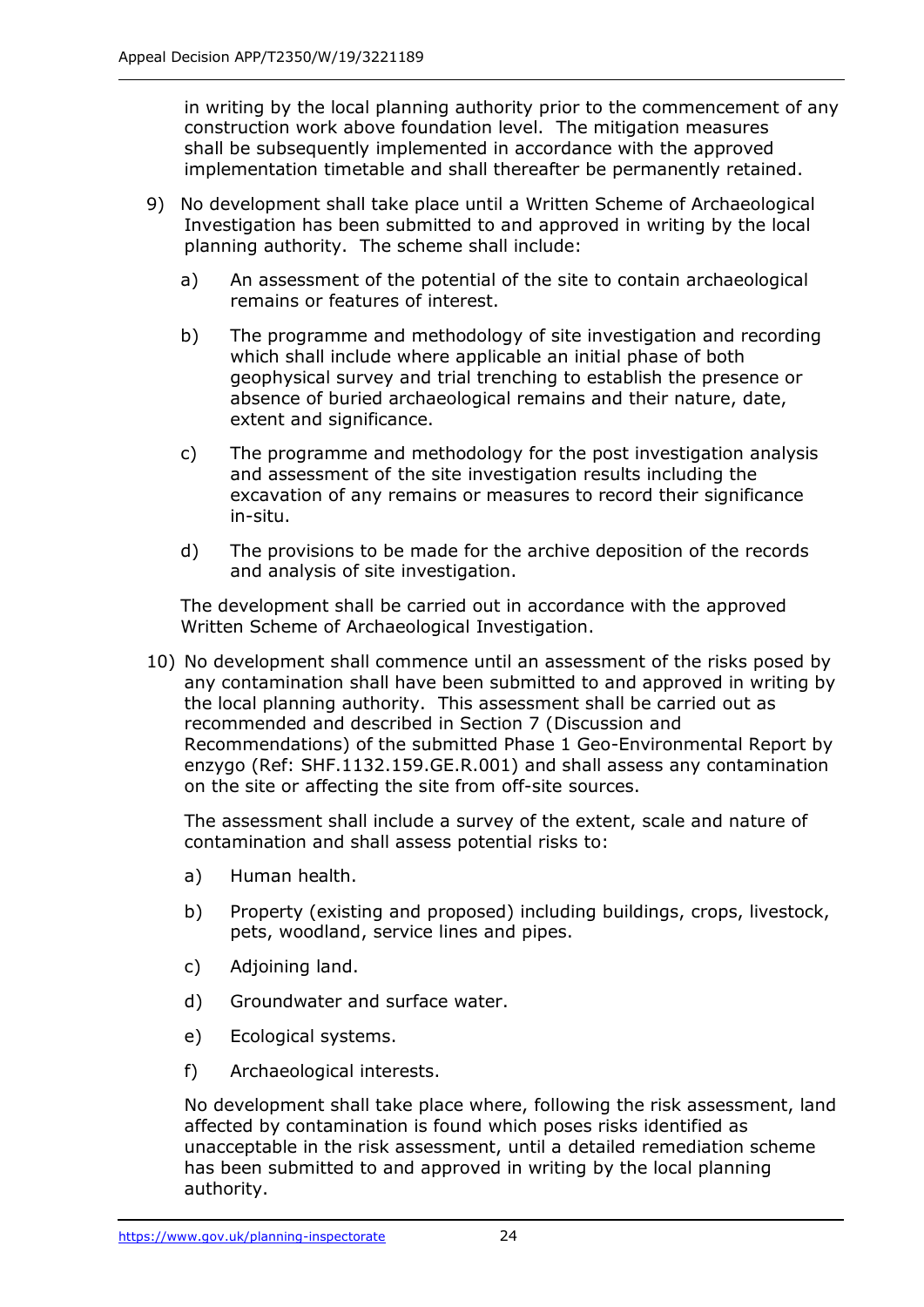in writing by the local planning authority prior to the commencement of any construction work above foundation level. The mitigation measures shall be subsequently implemented in accordance with the approved implementation timetable and shall thereafter be permanently retained.

- 9) No development shall take place until a Written Scheme of Archaeological Investigation has been submitted to and approved in writing by the local planning authority. The scheme shall include:
	- a) An assessment of the potential of the site to contain archaeological remains or features of interest.
	- b) The programme and methodology of site investigation and recording which shall include where applicable an initial phase of both geophysical survey and trial trenching to establish the presence or absence of buried archaeological remains and their nature, date, extent and significance.
	- c) The programme and methodology for the post investigation analysis and assessment of the site investigation results including the excavation of any remains or measures to record their significance in-situ.
	- d) The provisions to be made for the archive deposition of the records and analysis of site investigation.

The development shall be carried out in accordance with the approved Written Scheme of Archaeological Investigation.

10) No development shall commence until an assessment of the risks posed by any contamination shall have been submitted to and approved in writing by the local planning authority. This assessment shall be carried out as recommended and described in Section 7 (Discussion and Recommendations) of the submitted Phase 1 Geo-Environmental Report by enzygo (Ref: SHF.1132.159.GE.R.001) and shall assess any contamination on the site or affecting the site from off-site sources.

The assessment shall include a survey of the extent, scale and nature of contamination and shall assess potential risks to:

- a) Human health.
- b) Property (existing and proposed) including buildings, crops, livestock, pets, woodland, service lines and pipes.
- c) Adjoining land.
- d) Groundwater and surface water.
- e) Ecological systems.
- f) Archaeological interests.

No development shall take place where, following the risk assessment, land affected by contamination is found which poses risks identified as unacceptable in the risk assessment, until a detailed remediation scheme has been submitted to and approved in writing by the local planning authority.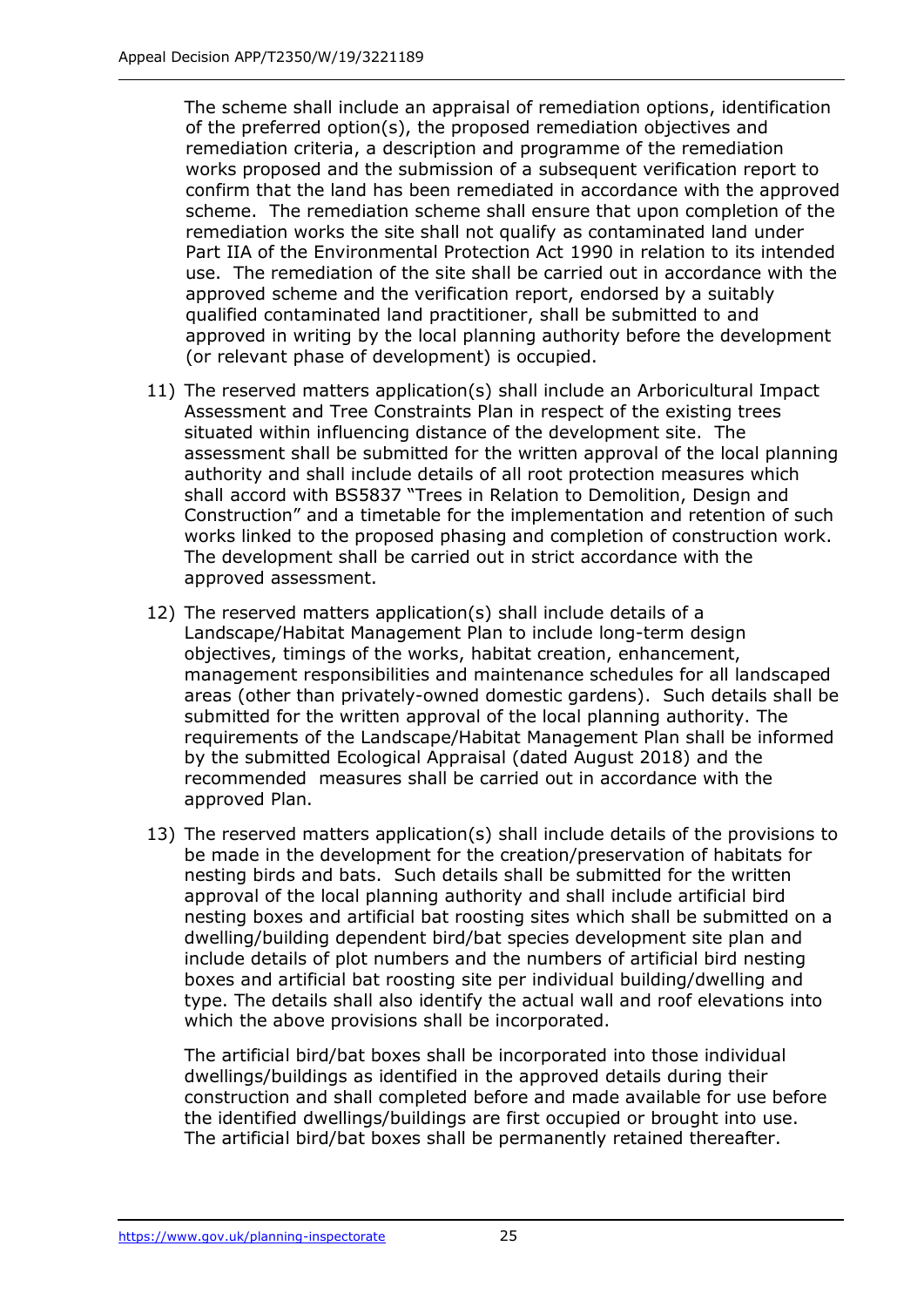The scheme shall include an appraisal of remediation options, identification of the preferred option(s), the proposed remediation objectives and remediation criteria, a description and programme of the remediation works proposed and the submission of a subsequent verification report to confirm that the land has been remediated in accordance with the approved scheme. The remediation scheme shall ensure that upon completion of the remediation works the site shall not qualify as contaminated land under Part IIA of the Environmental Protection Act 1990 in relation to its intended use. The remediation of the site shall be carried out in accordance with the approved scheme and the verification report, endorsed by a suitably qualified contaminated land practitioner, shall be submitted to and approved in writing by the local planning authority before the development (or relevant phase of development) is occupied.

- 11) The reserved matters application(s) shall include an Arboricultural Impact Assessment and Tree Constraints Plan in respect of the existing trees situated within influencing distance of the development site. The assessment shall be submitted for the written approval of the local planning authority and shall include details of all root protection measures which shall accord with BS5837 "Trees in Relation to Demolition, Design and Construction" and a timetable for the implementation and retention of such works linked to the proposed phasing and completion of construction work. The development shall be carried out in strict accordance with the approved assessment.
- 12) The reserved matters application(s) shall include details of a Landscape/Habitat Management Plan to include long-term design objectives, timings of the works, habitat creation, enhancement, management responsibilities and maintenance schedules for all landscaped areas (other than privately-owned domestic gardens). Such details shall be submitted for the written approval of the local planning authority. The requirements of the Landscape/Habitat Management Plan shall be informed by the submitted Ecological Appraisal (dated August 2018) and the recommended measures shall be carried out in accordance with the approved Plan.
- 13) The reserved matters application(s) shall include details of the provisions to be made in the development for the creation/preservation of habitats for nesting birds and bats. Such details shall be submitted for the written approval of the local planning authority and shall include artificial bird nesting boxes and artificial bat roosting sites which shall be submitted on a dwelling/building dependent bird/bat species development site plan and include details of plot numbers and the numbers of artificial bird nesting boxes and artificial bat roosting site per individual building/dwelling and type. The details shall also identify the actual wall and roof elevations into which the above provisions shall be incorporated.

 The artificial bird/bat boxes shall be incorporated into those individual dwellings/buildings as identified in the approved details during their construction and shall completed before and made available for use before the identified dwellings/buildings are first occupied or brought into use. The artificial bird/bat boxes shall be permanently retained thereafter.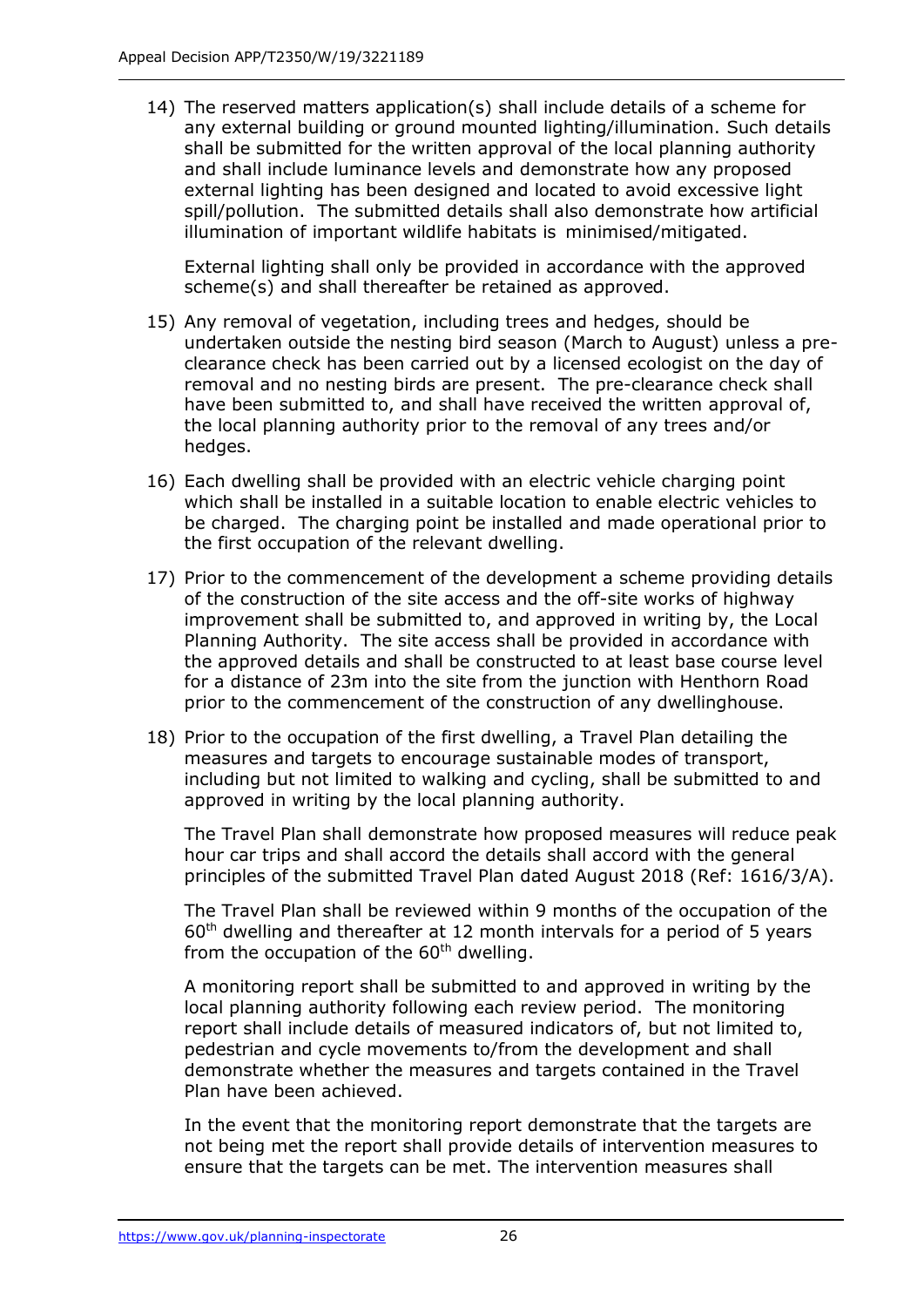14) The reserved matters application(s) shall include details of a scheme for any external building or ground mounted lighting/illumination. Such details shall be submitted for the written approval of the local planning authority and shall include luminance levels and demonstrate how any proposed external lighting has been designed and located to avoid excessive light spill/pollution. The submitted details shall also demonstrate how artificial illumination of important wildlife habitats is minimised/mitigated.

External lighting shall only be provided in accordance with the approved scheme(s) and shall thereafter be retained as approved.

- 15) Any removal of vegetation, including trees and hedges, should be undertaken outside the nesting bird season (March to August) unless a preclearance check has been carried out by a licensed ecologist on the day of removal and no nesting birds are present. The pre-clearance check shall have been submitted to, and shall have received the written approval of, the local planning authority prior to the removal of any trees and/or hedges.
- 16) Each dwelling shall be provided with an electric vehicle charging point which shall be installed in a suitable location to enable electric vehicles to be charged. The charging point be installed and made operational prior to the first occupation of the relevant dwelling.
- 17) Prior to the commencement of the development a scheme providing details of the construction of the site access and the off-site works of highway improvement shall be submitted to, and approved in writing by, the Local Planning Authority. The site access shall be provided in accordance with the approved details and shall be constructed to at least base course level for a distance of 23m into the site from the junction with Henthorn Road prior to the commencement of the construction of any dwellinghouse.
- 18) Prior to the occupation of the first dwelling, a Travel Plan detailing the measures and targets to encourage sustainable modes of transport, including but not limited to walking and cycling, shall be submitted to and approved in writing by the local planning authority.

The Travel Plan shall demonstrate how proposed measures will reduce peak hour car trips and shall accord the details shall accord with the general principles of the submitted Travel Plan dated August 2018 (Ref: 1616/3/A).

The Travel Plan shall be reviewed within 9 months of the occupation of the  $60<sup>th</sup>$  dwelling and thereafter at 12 month intervals for a period of 5 years from the occupation of the  $60<sup>th</sup>$  dwelling.

A monitoring report shall be submitted to and approved in writing by the local planning authority following each review period. The monitoring report shall include details of measured indicators of, but not limited to, pedestrian and cycle movements to/from the development and shall demonstrate whether the measures and targets contained in the Travel Plan have been achieved.

In the event that the monitoring report demonstrate that the targets are not being met the report shall provide details of intervention measures to ensure that the targets can be met. The intervention measures shall